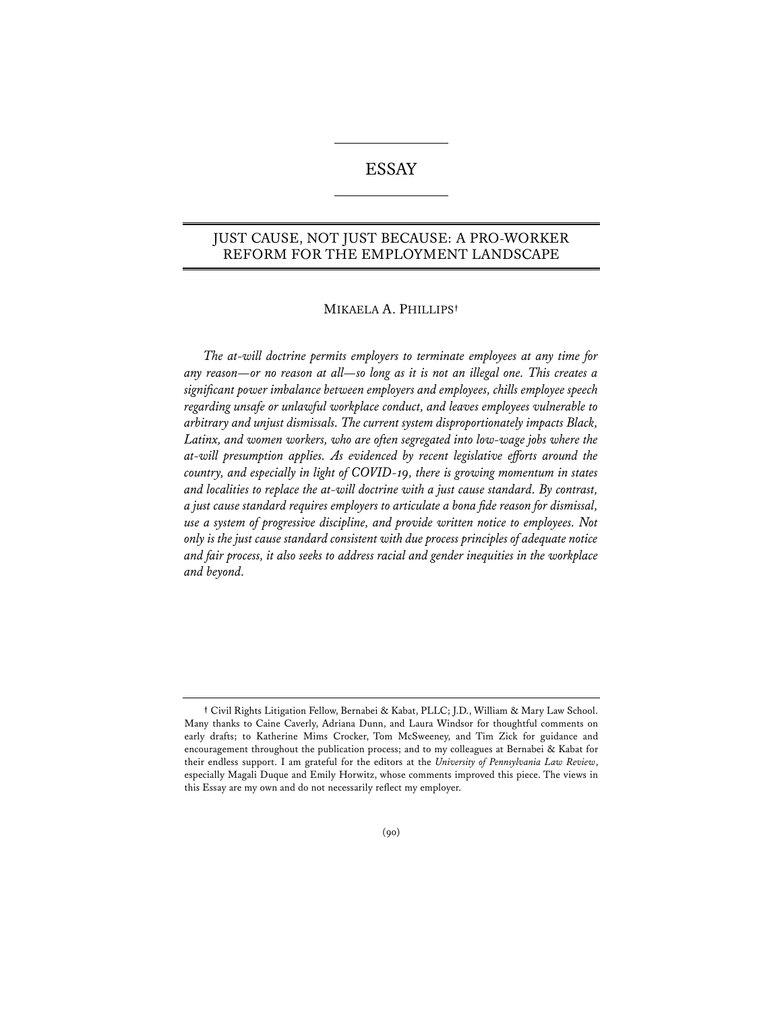# ESSAY

# JUST CAUSE, NOT JUST BECAUSE: A PRO-WORKER REFORM FOR THE EMPLOYMENT LANDSCAPE

## MIKAELA A. PHILLIPS**†**

*The at-will doctrine permits employers to terminate employees at any time for any reason—or no reason at all—so long as it is not an illegal one. This creates a signifcant power imbalance between employers and employees, chills employee speech regarding unsafe or unlawful workplace conduct, and leaves employees vulnerable to arbitrary and unjust dismissals. The current system disproportionately impacts Black, Latinx, and women workers, who are often segregated into low-wage jobs where the at-will presumption applies. As evidenced by recent legislative efforts around the country, and especially in light of COVID-19, there is growing momentum in states and localities to replace the at-will doctrine with a just cause standard. By contrast, a just cause standard requires employers to articulate a bona fde reason for dismissal, use a system of progressive discipline, and provide written notice to employees. Not only is the just cause standard consistent with due process principles of adequate notice and fair process, it also seeks to address racial and gender inequities in the workplace and beyond.*

**<sup>†</sup>** Civil Rights Litigation Fellow, Bernabei & Kabat, PLLC; J.D., William & Mary Law School. Many thanks to Caine Caverly, Adriana Dunn, and Laura Windsor for thoughtful comments on early drafts; to Katherine Mims Crocker, Tom McSweeney, and Tim Zick for guidance and encouragement throughout the publication process; and to my colleagues at Bernabei & Kabat for their endless support. I am grateful for the editors at the *University of Pennsylvania Law Review*, especially Magali Duque and Emily Horwitz, whose comments improved this piece. The views in this Essay are my own and do not necessarily reflect my employer.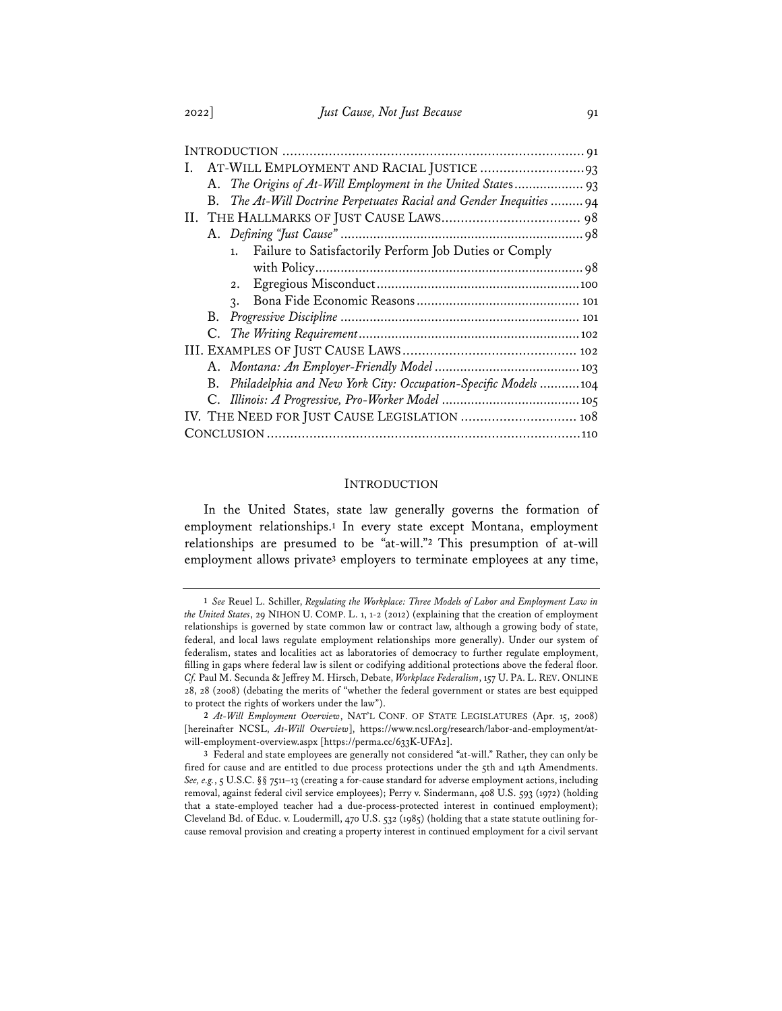| Ι.                                                                      |
|-------------------------------------------------------------------------|
| A. The Origins of At-Will Employment in the United States 93            |
| The At-Will Doctrine Perpetuates Racial and Gender Inequities  94<br>B. |
|                                                                         |
|                                                                         |
| Failure to Satisfactorily Perform Job Duties or Comply<br>1.            |
|                                                                         |
| 2.                                                                      |
| $\mathcal{R}$ .                                                         |
|                                                                         |
|                                                                         |
|                                                                         |
|                                                                         |
| B. Philadelphia and New York City: Occupation-Specific Models  104      |
|                                                                         |
| IV. THE NEED FOR JUST CAUSE LEGISLATION  108                            |
|                                                                         |

### INTRODUCTION

In the United States, state law generally governs the formation of employment relationships.**<sup>1</sup>** In every state except Montana, employment relationships are presumed to be "at-will."**<sup>2</sup>** This presumption of at-will employment allows private**<sup>3</sup>** employers to terminate employees at any time,

**<sup>1</sup>** *See* Reuel L. Schiller, *Regulating the Workplace: Three Models of Labor and Employment Law in the United States*, 29 NIHON U. COMP. L. 1, 1-2 (2012) (explaining that the creation of employment relationships is governed by state common law or contract law, although a growing body of state, federal, and local laws regulate employment relationships more generally). Under our system of federalism, states and localities act as laboratories of democracy to further regulate employment, filling in gaps where federal law is silent or codifying additional protections above the federal floor. *Cf.* Paul M. Secunda & Jeffrey M. Hirsch, Debate, *Workplace Federalism*, 157 U. PA. L. REV. ONLINE 28, 28 (2008) (debating the merits of "whether the federal government or states are best equipped to protect the rights of workers under the law").

**<sup>2</sup>** *At-Will Employment Overview*, NAT'L CONF. OF STATE LEGISLATURES (Apr. 15, 2008) [hereinafter NCSL, *At-Will Overview*], https://www.ncsl.org/research/labor-and-employment/atwill-employment-overview.aspx [https://perma.cc/633K-UFA2].

**<sup>3</sup>** Federal and state employees are generally not considered "at-will." Rather, they can only be fired for cause and are entitled to due process protections under the 5th and 14th Amendments. *See, e.g.*, 5 U.S.C. §§ 7511–13 (creating a for-cause standard for adverse employment actions, including removal, against federal civil service employees); Perry v. Sindermann, 408 U.S. 593 (1972) (holding that a state-employed teacher had a due-process-protected interest in continued employment); Cleveland Bd. of Educ. v. Loudermill, 470 U.S. 532 (1985) (holding that a state statute outlining forcause removal provision and creating a property interest in continued employment for a civil servant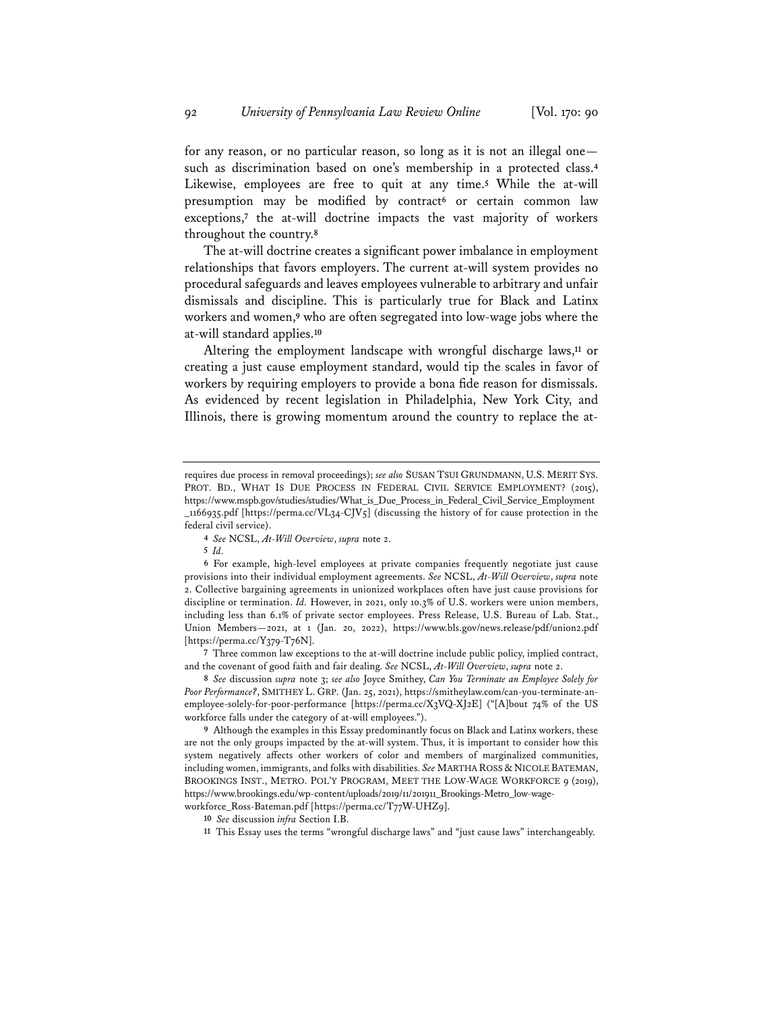for any reason, or no particular reason, so long as it is not an illegal one such as discrimination based on one's membership in a protected class.**<sup>4</sup>** Likewise, employees are free to quit at any time.**<sup>5</sup>** While the at-will presumption may be modified by contract**<sup>6</sup>** or certain common law exceptions,**<sup>7</sup>** the at-will doctrine impacts the vast majority of workers throughout the country.**<sup>8</sup>**

The at-will doctrine creates a significant power imbalance in employment relationships that favors employers. The current at-will system provides no procedural safeguards and leaves employees vulnerable to arbitrary and unfair dismissals and discipline. This is particularly true for Black and Latinx workers and women,**<sup>9</sup>** who are often segregated into low-wage jobs where the at-will standard applies.**<sup>10</sup>**

Altering the employment landscape with wrongful discharge laws,**<sup>11</sup>** or creating a just cause employment standard, would tip the scales in favor of workers by requiring employers to provide a bona fide reason for dismissals. As evidenced by recent legislation in Philadelphia, New York City, and Illinois, there is growing momentum around the country to replace the at-

**7** Three common law exceptions to the at-will doctrine include public policy, implied contract, and the covenant of good faith and fair dealing. *See* NCSL, *At-Will Overview*, *supra* note 2.

**8** *See* discussion *supra* note 3; *see also* Joyce Smithey, *Can You Terminate an Employee Solely for Poor Performance?*, SMITHEY L. GRP. (Jan. 25, 2021), https://smitheylaw.com/can-you-terminate-anemployee-solely-for-poor-performance [https://perma.cc/X3VQ-XJ2E] ("[A]bout 74% of the US workforce falls under the category of at-will employees.").

**9** Although the examples in this Essay predominantly focus on Black and Latinx workers, these are not the only groups impacted by the at-will system. Thus, it is important to consider how this system negatively affects other workers of color and members of marginalized communities, including women, immigrants, and folks with disabilities. *See* MARTHA ROSS & NICOLE BATEMAN, BROOKINGS INST., METRO. POL'Y PROGRAM, MEET THE LOW-WAGE WORKFORCE 9 (2019), https://www.brookings.edu/wp-content/uploads/2019/11/201911\_Brookings-Metro\_low-wageworkforce\_Ross-Bateman.pdf [https://perma.cc/T77W-UHZ9].

requires due process in removal proceedings); *see also* SUSAN TSUI GRUNDMANN, U.S. MERIT SYS. PROT. BD., WHAT IS DUE PROCESS IN FEDERAL CIVIL SERVICE EMPLOYMENT? (2015), https://www.mspb.gov/studies/studies/What\_is\_Due\_Process\_in\_Federal\_Civil\_Service\_Employment \_1166935.pdf [https://perma.cc/VL34-CJV5] (discussing the history of for cause protection in the federal civil service).

**<sup>4</sup>** *See* NCSL, *At-Will Overview*, *supra* note 2.

**<sup>5</sup>** *Id.*

**<sup>6</sup>** For example, high-level employees at private companies frequently negotiate just cause provisions into their individual employment agreements. *See* NCSL, *At-Will Overview*, *supra* note 2. Collective bargaining agreements in unionized workplaces often have just cause provisions for discipline or termination. *Id.* However, in 2021, only 10.3% of U.S. workers were union members, including less than 6.1% of private sector employees. Press Release, U.S. Bureau of Lab. Stat., Union Members—2021, at 1 (Jan. 20, 2022), https://www.bls.gov/news.release/pdf/union2.pdf [https://perma.cc/Y379-T76N].

**<sup>10</sup>** *See* discussion *infra* Section I.B.

**<sup>11</sup>** This Essay uses the terms "wrongful discharge laws" and "just cause laws" interchangeably.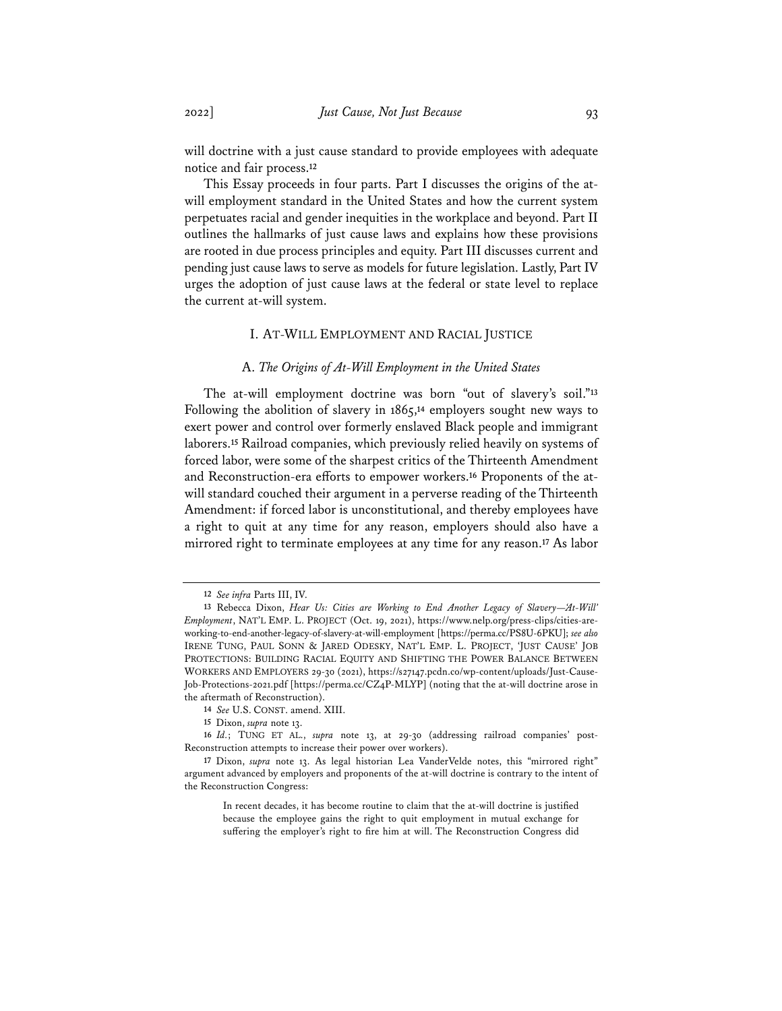will doctrine with a just cause standard to provide employees with adequate notice and fair process.**<sup>12</sup>**

This Essay proceeds in four parts. Part I discusses the origins of the atwill employment standard in the United States and how the current system perpetuates racial and gender inequities in the workplace and beyond. Part II outlines the hallmarks of just cause laws and explains how these provisions are rooted in due process principles and equity. Part III discusses current and pending just cause laws to serve as models for future legislation. Lastly, Part IV urges the adoption of just cause laws at the federal or state level to replace the current at-will system.

### I. AT-WILL EMPLOYMENT AND RACIAL JUSTICE

### A. *The Origins of At-Will Employment in the United States*

The at-will employment doctrine was born "out of slavery's soil."**<sup>13</sup>** Following the abolition of slavery in 1865,**<sup>14</sup>** employers sought new ways to exert power and control over formerly enslaved Black people and immigrant laborers.**<sup>15</sup>** Railroad companies, which previously relied heavily on systems of forced labor, were some of the sharpest critics of the Thirteenth Amendment and Reconstruction-era efforts to empower workers.**<sup>16</sup>** Proponents of the atwill standard couched their argument in a perverse reading of the Thirteenth Amendment: if forced labor is unconstitutional, and thereby employees have a right to quit at any time for any reason, employers should also have a mirrored right to terminate employees at any time for any reason.**<sup>17</sup>** As labor

**<sup>12</sup>** *See infra* Parts III, IV.

<sup>13</sup> Rebecca Dixon, *Hear Us: Cities are Working to End Another Legacy of Slavery-'At-Will' Employment*, NAT'L EMP. L. PROJECT (Oct. 19, 2021), https://www.nelp.org/press-clips/cities-areworking-to-end-another-legacy-of-slavery-at-will-employment [https://perma.cc/PS8U-6PKU]; *see also* IRENE TUNG, PAUL SONN & JARED ODESKY, NAT'L EMP. L. PROJECT, 'JUST CAUSE' JOB PROTECTIONS: BUILDING RACIAL EQUITY AND SHIFTING THE POWER BALANCE BETWEEN WORKERS AND EMPLOYERS 29-30 (2021), https://s27147.pcdn.co/wp-content/uploads/Just-Cause-Job-Protections-2021.pdf [https://perma.cc/CZ4P-MLYP] (noting that the at-will doctrine arose in the aftermath of Reconstruction).

**<sup>14</sup>** *See* U.S. CONST. amend. XIII.

**<sup>15</sup>** Dixon, *supra* note 13.

**<sup>16</sup>** *Id.*; TUNG ET AL., *supra* note 13, at 29-30 (addressing railroad companies' post-Reconstruction attempts to increase their power over workers).

**<sup>17</sup>** Dixon, *supra* note 13. As legal historian Lea VanderVelde notes, this "mirrored right" argument advanced by employers and proponents of the at-will doctrine is contrary to the intent of the Reconstruction Congress:

In recent decades, it has become routine to claim that the at-will doctrine is justified because the employee gains the right to quit employment in mutual exchange for suffering the employer's right to fire him at will. The Reconstruction Congress did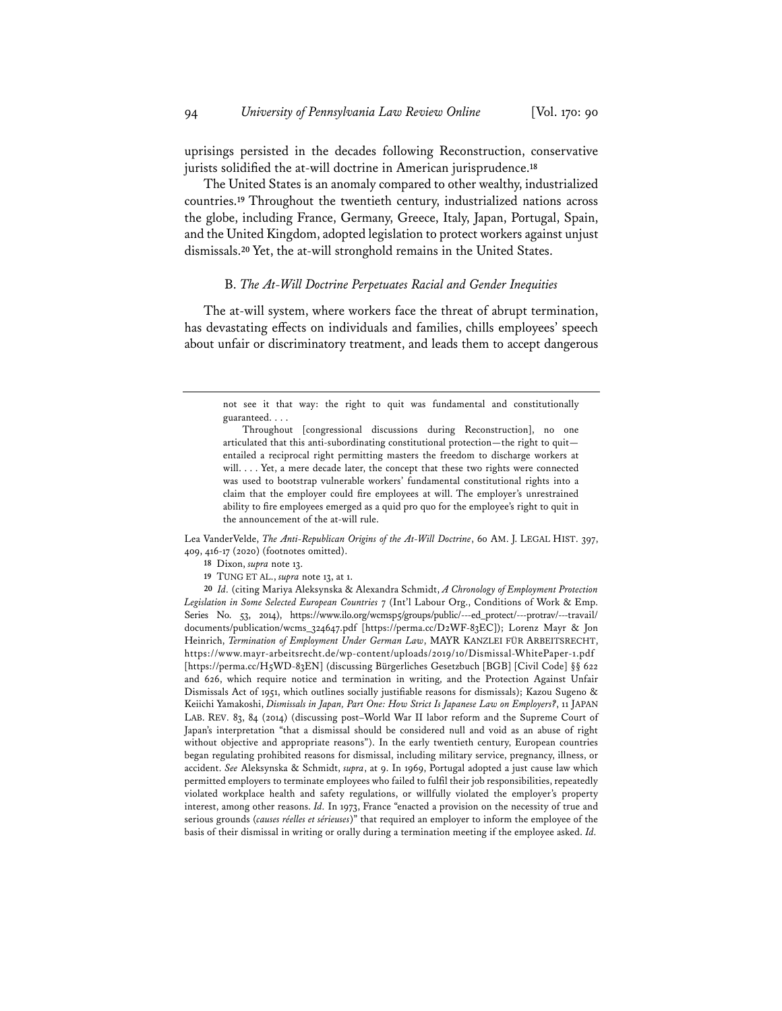uprisings persisted in the decades following Reconstruction, conservative jurists solidified the at-will doctrine in American jurisprudence.**<sup>18</sup>**

The United States is an anomaly compared to other wealthy, industrialized countries.**<sup>19</sup>** Throughout the twentieth century, industrialized nations across the globe, including France, Germany, Greece, Italy, Japan, Portugal, Spain, and the United Kingdom, adopted legislation to protect workers against unjust dismissals.**<sup>20</sup>** Yet, the at-will stronghold remains in the United States.

#### B. *The At-Will Doctrine Perpetuates Racial and Gender Inequities*

The at-will system, where workers face the threat of abrupt termination, has devastating effects on individuals and families, chills employees' speech about unfair or discriminatory treatment, and leads them to accept dangerous

Lea VanderVelde, *The Anti-Republican Origins of the At-Will Doctrine*, 60 AM. J. LEGAL HIST. 397, 409, 416-17 (2020) (footnotes omitted).

- **18** Dixon, *supra* note 13.
- **19** TUNG ET AL., *supra* note 13, at 1.

**20** *Id.* (citing Mariya Aleksynska & Alexandra Schmidt, *A Chronology of Employment Protection Legislation in Some Selected European Countries* 7 (Int'l Labour Org., Conditions of Work & Emp. Series No. 53, 2014), https://www.ilo.org/wcmsp5/groups/public/---ed\_protect/---protrav/---travail/ documents/publication/wcms\_324647.pdf [https://perma.cc/D2WF-83EC]); Lorenz Mayr & Jon Heinrich, *Termination of Employment Under German Law*, MAYR KANZLEI FÜR ARBEITSRECHT, https://www.mayr-arbeitsrecht.de/wp-content/uploads/2019/10/Dismissal-WhitePaper-1.pdf [https://perma.cc/H5WD-83EN] (discussing Bürgerliches Gesetzbuch [BGB] [Civil Code] §§ 622 and 626, which require notice and termination in writing, and the Protection Against Unfair Dismissals Act of 1951, which outlines socially justifiable reasons for dismissals); Kazou Sugeno & Keiichi Yamakoshi, *Dismissals in Japan, Part One: How Strict Is Japanese Law on Employers?*, 11 JAPAN LAB. REV. 83, 84 (2014) (discussing post–World War II labor reform and the Supreme Court of Japan's interpretation "that a dismissal should be considered null and void as an abuse of right without objective and appropriate reasons"). In the early twentieth century, European countries began regulating prohibited reasons for dismissal, including military service, pregnancy, illness, or accident. *See* Aleksynska & Schmidt, *supra*, at 9. In 1969, Portugal adopted a just cause law which permitted employers to terminate employees who failed to fulfil their job responsibilities, repeatedly violated workplace health and safety regulations, or willfully violated the employer's property interest, among other reasons. *Id.* In 1973, France "enacted a provision on the necessity of true and serious grounds (*causes réelles et sérieuses*)" that required an employer to inform the employee of the basis of their dismissal in writing or orally during a termination meeting if the employee asked. *Id.*

not see it that way: the right to quit was fundamental and constitutionally guaranteed. . . .

Throughout [congressional discussions during Reconstruction], no one articulated that this anti-subordinating constitutional protection—the right to quit entailed a reciprocal right permitting masters the freedom to discharge workers at will. . . . Yet, a mere decade later, the concept that these two rights were connected was used to bootstrap vulnerable workers' fundamental constitutional rights into a claim that the employer could fire employees at will. The employer's unrestrained ability to fire employees emerged as a quid pro quo for the employee's right to quit in the announcement of the at-will rule.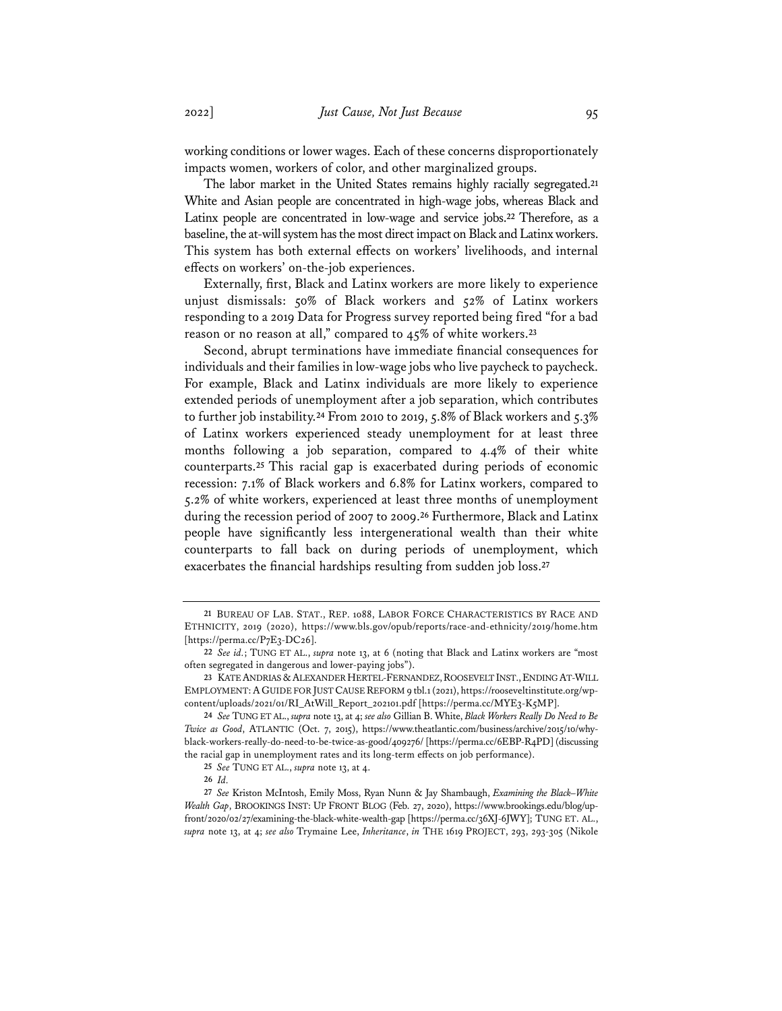working conditions or lower wages. Each of these concerns disproportionately impacts women, workers of color, and other marginalized groups.

The labor market in the United States remains highly racially segregated.**<sup>21</sup>** White and Asian people are concentrated in high-wage jobs, whereas Black and Latinx people are concentrated in low-wage and service jobs.**<sup>22</sup>** Therefore, as a baseline, the at-will system has the most direct impact on Black and Latinx workers. This system has both external effects on workers' livelihoods, and internal effects on workers' on-the-job experiences.

Externally, first, Black and Latinx workers are more likely to experience unjust dismissals: 50% of Black workers and 52% of Latinx workers responding to a 2019 Data for Progress survey reported being fired "for a bad reason or no reason at all," compared to 45% of white workers.**<sup>23</sup>**

Second, abrupt terminations have immediate financial consequences for individuals and their families in low-wage jobs who live paycheck to paycheck. For example, Black and Latinx individuals are more likely to experience extended periods of unemployment after a job separation, which contributes to further job instability.**<sup>24</sup>** From 2010 to 2019, 5.8% of Black workers and 5.3% of Latinx workers experienced steady unemployment for at least three months following a job separation, compared to 4.4% of their white counterparts.**<sup>25</sup>** This racial gap is exacerbated during periods of economic recession: 7.1% of Black workers and 6.8% for Latinx workers, compared to 5.2% of white workers, experienced at least three months of unemployment during the recession period of 2007 to 2009.**<sup>26</sup>** Furthermore, Black and Latinx people have significantly less intergenerational wealth than their white counterparts to fall back on during periods of unemployment, which exacerbates the financial hardships resulting from sudden job loss.**<sup>27</sup>**

**<sup>21</sup>** BUREAU OF LAB. STAT., REP. 1088, LABOR FORCE CHARACTERISTICS BY RACE AND ETHNICITY, 2019 (2020), https://www.bls.gov/opub/reports/race-and-ethnicity/2019/home.htm [https://perma.cc/P7E3-DC26].

**<sup>22</sup>** *See id.*; TUNG ET AL., *supra* note 13, at 6 (noting that Black and Latinx workers are "most often segregated in dangerous and lower-paying jobs").

**<sup>23</sup>** KATE ANDRIAS &ALEXANDER HERTEL-FERNANDEZ,ROOSEVELT INST.,ENDING AT-WILL EMPLOYMENT:A GUIDE FOR JUST CAUSEREFORM 9 tbl.1 (2021), https://rooseveltinstitute.org/wpcontent/uploads/2021/01/RI\_AtWill\_Report\_202101.pdf [https://perma.cc/MYE3-K5MP].

**<sup>24</sup>** *See* TUNG ET AL., *supra* note 13, at 4; *see also* Gillian B. White, *Black Workers Really Do Need to Be Twice as Good*, ATLANTIC (Oct. 7, 2015), https://www.theatlantic.com/business/archive/2015/10/whyblack-workers-really-do-need-to-be-twice-as-good/409276/ [https://perma.cc/6EBP-R4PD] (discussing the racial gap in unemployment rates and its long-term effects on job performance).

**<sup>25</sup>** *See* TUNG ET AL., *supra* note 13, at 4.

**<sup>26</sup>** *Id.*

**<sup>27</sup>** *See* Kriston McIntosh, Emily Moss, Ryan Nunn & Jay Shambaugh, *Examining the Black–White Wealth Gap*, BROOKINGS INST: UP FRONT BLOG (Feb. 27, 2020), https://www.brookings.edu/blog/upfront/2020/02/27/examining-the-black-white-wealth-gap [https://perma.cc/36XJ-6JWY]; TUNG ET. AL., *supra* note 13, at 4; *see also* Trymaine Lee, *Inheritance*, *in* THE 1619 PROJECT, 293, 293-305 (Nikole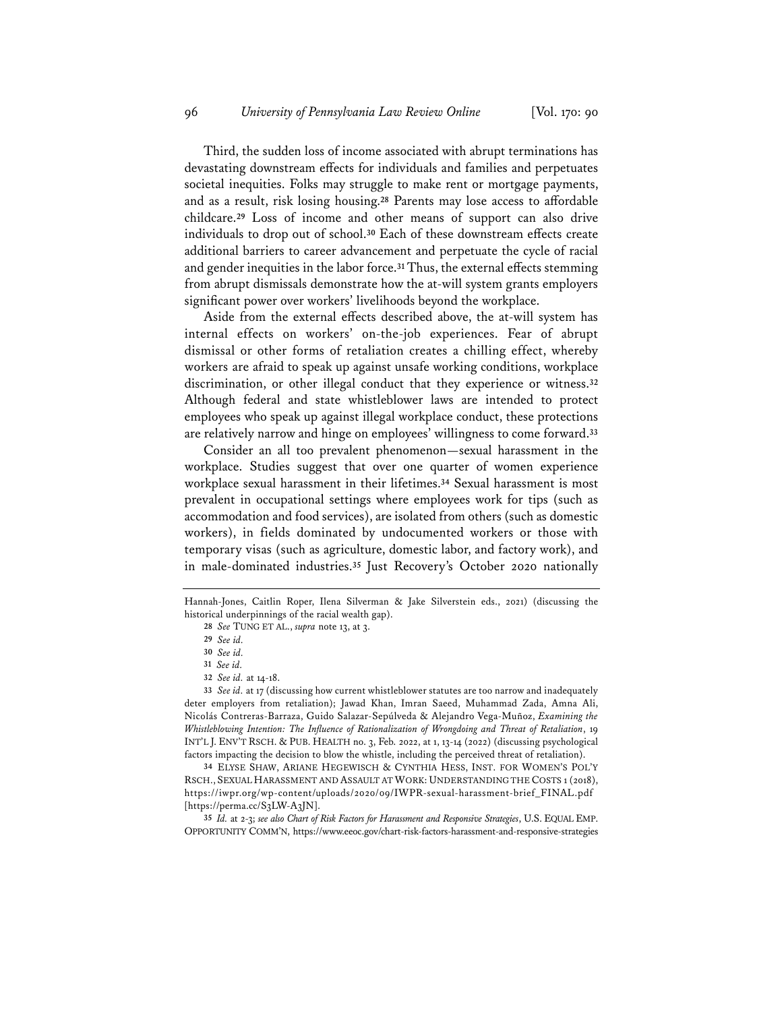Third, the sudden loss of income associated with abrupt terminations has devastating downstream effects for individuals and families and perpetuates societal inequities. Folks may struggle to make rent or mortgage payments, and as a result, risk losing housing.**<sup>28</sup>** Parents may lose access to affordable childcare.**<sup>29</sup>** Loss of income and other means of support can also drive individuals to drop out of school.**<sup>30</sup>** Each of these downstream effects create additional barriers to career advancement and perpetuate the cycle of racial and gender inequities in the labor force.**31**Thus, the external effects stemming from abrupt dismissals demonstrate how the at-will system grants employers significant power over workers' livelihoods beyond the workplace.

Aside from the external effects described above, the at-will system has internal effects on workers' on-the-job experiences. Fear of abrupt dismissal or other forms of retaliation creates a chilling effect, whereby workers are afraid to speak up against unsafe working conditions, workplace discrimination, or other illegal conduct that they experience or witness.**<sup>32</sup>** Although federal and state whistleblower laws are intended to protect employees who speak up against illegal workplace conduct, these protections are relatively narrow and hinge on employees' willingness to come forward.**<sup>33</sup>**

Consider an all too prevalent phenomenon—sexual harassment in the workplace. Studies suggest that over one quarter of women experience workplace sexual harassment in their lifetimes.**<sup>34</sup>** Sexual harassment is most prevalent in occupational settings where employees work for tips (such as accommodation and food services), are isolated from others (such as domestic workers), in fields dominated by undocumented workers or those with temporary visas (such as agriculture, domestic labor, and factory work), and in male-dominated industries.**<sup>35</sup>** Just Recovery's October 2020 nationally

**34** ELYSE SHAW, ARIANE HEGEWISCH & CYNTHIA HESS, INST. FOR WOMEN'S POL'Y RSCH., SEXUAL HARASSMENT AND ASSAULT AT WORK: UNDERSTANDING THE COSTS 1 (2018), https://iwpr.org/wp-content/uploads/2020/09/IWPR-sexual-harassment-brief\_FINAL.pdf [https://perma.cc/S3LW-A3JN].

**35** *Id.* at 2-3; *see also Chart of Risk Factors for Harassment and Responsive Strategies*, U.S. EQUAL EMP. OPPORTUNITY COMM'N, https://www.eeoc.gov/chart-risk-factors-harassment-and-responsive-strategies

Hannah-Jones, Caitlin Roper, Ilena Silverman & Jake Silverstein eds., 2021) (discussing the historical underpinnings of the racial wealth gap).

**<sup>28</sup>** *See* TUNG ET AL., *supra* note 13, at 3.

**<sup>29</sup>** *See id.*

**<sup>30</sup>** *See id.*

**<sup>31</sup>** *See id.*

**<sup>32</sup>** *See id.* at 14-18.

**<sup>33</sup>** *See id.* at 17 (discussing how current whistleblower statutes are too narrow and inadequately deter employers from retaliation); Jawad Khan, Imran Saeed, Muhammad Zada, Amna Ali, Nicolás Contreras-Barraza, Guido Salazar-Sepúlveda & Alejandro Vega-Muñoz, *Examining the Whistleblowing Intention: The Infuence of Rationalization of Wrongdoing and Threat of Retaliation*, 19 INT'L J. ENV'T RSCH. & PUB. HEALTH no. 3, Feb. 2022, at 1, 13-14 (2022) (discussing psychological factors impacting the decision to blow the whistle, including the perceived threat of retaliation).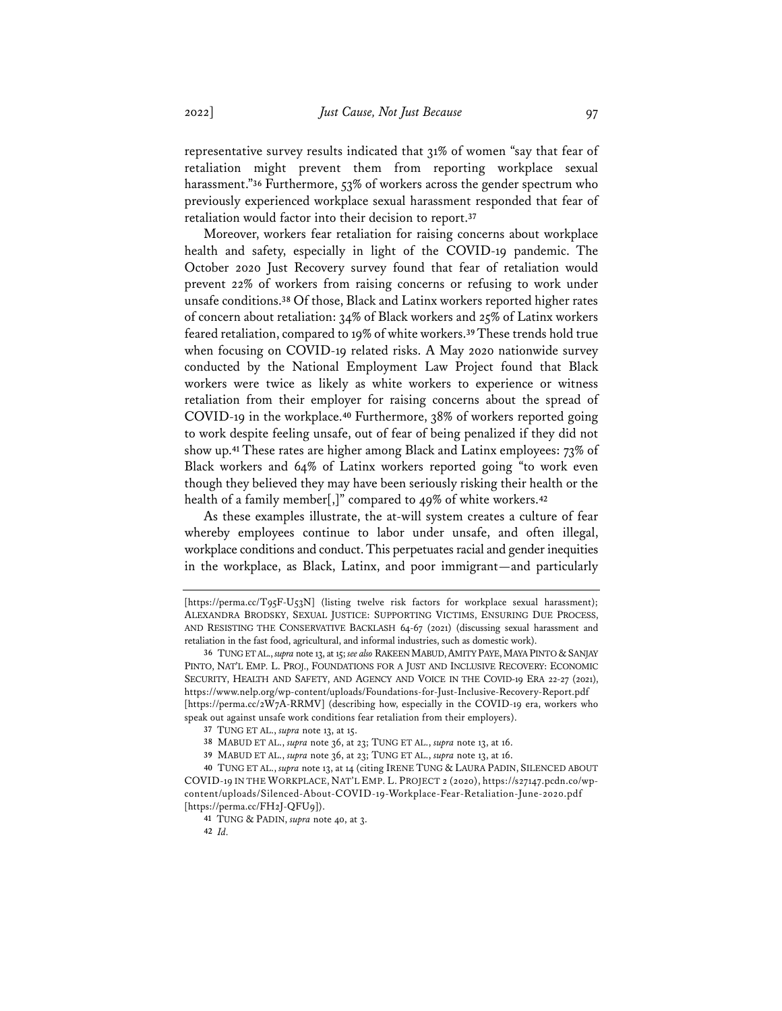representative survey results indicated that 31% of women "say that fear of retaliation might prevent them from reporting workplace sexual harassment."**<sup>36</sup>** Furthermore, 53% of workers across the gender spectrum who previously experienced workplace sexual harassment responded that fear of retaliation would factor into their decision to report.**<sup>37</sup>**

Moreover, workers fear retaliation for raising concerns about workplace health and safety, especially in light of the COVID-19 pandemic. The October 2020 Just Recovery survey found that fear of retaliation would prevent 22% of workers from raising concerns or refusing to work under unsafe conditions.**<sup>38</sup>** Of those, Black and Latinx workers reported higher rates of concern about retaliation: 34% of Black workers and 25% of Latinx workers feared retaliation, compared to 19% of white workers.**39**These trends hold true when focusing on COVID-19 related risks. A May 2020 nationwide survey conducted by the National Employment Law Project found that Black workers were twice as likely as white workers to experience or witness retaliation from their employer for raising concerns about the spread of COVID-19 in the workplace.**<sup>40</sup>** Furthermore, 38% of workers reported going to work despite feeling unsafe, out of fear of being penalized if they did not show up.**<sup>41</sup>** These rates are higher among Black and Latinx employees: 73% of Black workers and 64% of Latinx workers reported going "to work even though they believed they may have been seriously risking their health or the health of a family member[,]" compared to 49% of white workers.**<sup>42</sup>**

As these examples illustrate, the at-will system creates a culture of fear whereby employees continue to labor under unsafe, and often illegal, workplace conditions and conduct. This perpetuates racial and gender inequities in the workplace, as Black, Latinx, and poor immigrant—and particularly

<sup>[</sup>https://perma.cc/T95F-U53N] (listing twelve risk factors for workplace sexual harassment); ALEXANDRA BRODSKY, SEXUAL JUSTICE: SUPPORTING VICTIMS, ENSURING DUE PROCESS, AND RESISTING THE CONSERVATIVE BACKLASH 64-67 (2021) (discussing sexual harassment and retaliation in the fast food, agricultural, and informal industries, such as domestic work).

<sup>36</sup> TUNG ET AL., *supra* note 13, at 15; *see also* RAKEEN MABUD, AMITY PAYE, MAYA PINTO & SANJAY PINTO, NAT'L EMP. L. PROJ., FOUNDATIONS FOR A JUST AND INCLUSIVE RECOVERY: ECONOMIC SECURITY, HEALTH AND SAFETY, AND AGENCY AND VOICE IN THE COVID-19 ERA 22-27 (2021), https://www.nelp.org/wp-content/uploads/Foundations-for-Just-Inclusive-Recovery-Report.pdf [https://perma.cc/2W7A-RRMV] (describing how, especially in the COVID-19 era, workers who speak out against unsafe work conditions fear retaliation from their employers).

**<sup>37</sup>** TUNG ET AL., *supra* note 13, at 15.

**<sup>38</sup>** MABUD ET AL., *supra* note 36, at 23; TUNG ET AL., *supra* note 13, at 16.

**<sup>39</sup>** MABUD ET AL., *supra* note 36, at 23; TUNG ET AL., *supra* note 13, at 16.

**<sup>40</sup>** TUNG ET AL., *supra* note 13, at 14 (citing IRENE TUNG & LAURA PADIN, SILENCED ABOUT COVID-19 IN THE WORKPLACE, NAT'L EMP. L. PROJECT 2 (2020), https://s27147.pcdn.co/wpcontent/uploads/Silenced-About-COVID-19-Workplace-Fear-Retaliation-June-2020.pdf [https://perma.cc/FH2J-QFU9]).

**<sup>41</sup>** TUNG & PADIN, *supra* note 40, at 3.

**<sup>42</sup>** *Id.*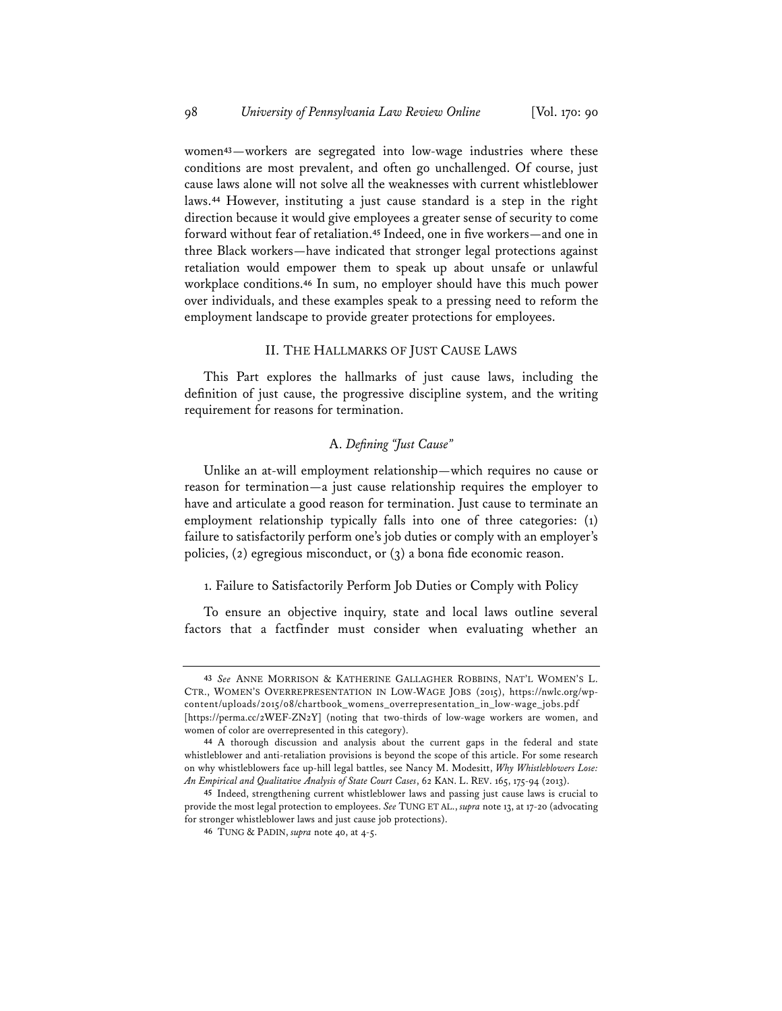women**43**—workers are segregated into low-wage industries where these conditions are most prevalent, and often go unchallenged. Of course, just cause laws alone will not solve all the weaknesses with current whistleblower laws.**<sup>44</sup>** However, instituting a just cause standard is a step in the right direction because it would give employees a greater sense of security to come forward without fear of retaliation.**<sup>45</sup>** Indeed, one in five workers—and one in three Black workers—have indicated that stronger legal protections against retaliation would empower them to speak up about unsafe or unlawful workplace conditions.**<sup>46</sup>** In sum, no employer should have this much power over individuals, and these examples speak to a pressing need to reform the employment landscape to provide greater protections for employees.

### II. THE HALLMARKS OF JUST CAUSE LAWS

This Part explores the hallmarks of just cause laws, including the definition of just cause, the progressive discipline system, and the writing requirement for reasons for termination.

# A. *Defning "Just Cause"*

Unlike an at-will employment relationship—which requires no cause or reason for termination—a just cause relationship requires the employer to have and articulate a good reason for termination. Just cause to terminate an employment relationship typically falls into one of three categories: (1) failure to satisfactorily perform one's job duties or comply with an employer's policies, (2) egregious misconduct, or (3) a bona fide economic reason.

#### 1. Failure to Satisfactorily Perform Job Duties or Comply with Policy

To ensure an objective inquiry, state and local laws outline several factors that a factfinder must consider when evaluating whether an

**<sup>43</sup>** *See* ANNE MORRISON & KATHERINE GALLAGHER ROBBINS, NAT'L WOMEN'S L. CTR., WOMEN'S OVERREPRESENTATION IN LOW-WAGE JOBS (2015), https://nwlc.org/wpcontent/uploads/2015/08/chartbook\_womens\_overrepresentation\_in\_low-wage\_jobs.pdf [https://perma.cc/2WEF-ZN2Y] (noting that two-thirds of low-wage workers are women, and women of color are overrepresented in this category).

**<sup>44</sup>** A thorough discussion and analysis about the current gaps in the federal and state whistleblower and anti-retaliation provisions is beyond the scope of this article. For some research on why whistleblowers face up-hill legal battles, see Nancy M. Modesitt, *Why Whistleblowers Lose: An Empirical and Qualitative Analysis of State Court Cases*, 62 KAN. L. REV. 165, 175-94 (2013).

**<sup>45</sup>** Indeed, strengthening current whistleblower laws and passing just cause laws is crucial to provide the most legal protection to employees. *See* TUNG ET AL., *supra* note 13, at 17-20 (advocating for stronger whistleblower laws and just cause job protections).

**<sup>46</sup>** TUNG & PADIN, *supra* note 40, at 4-5.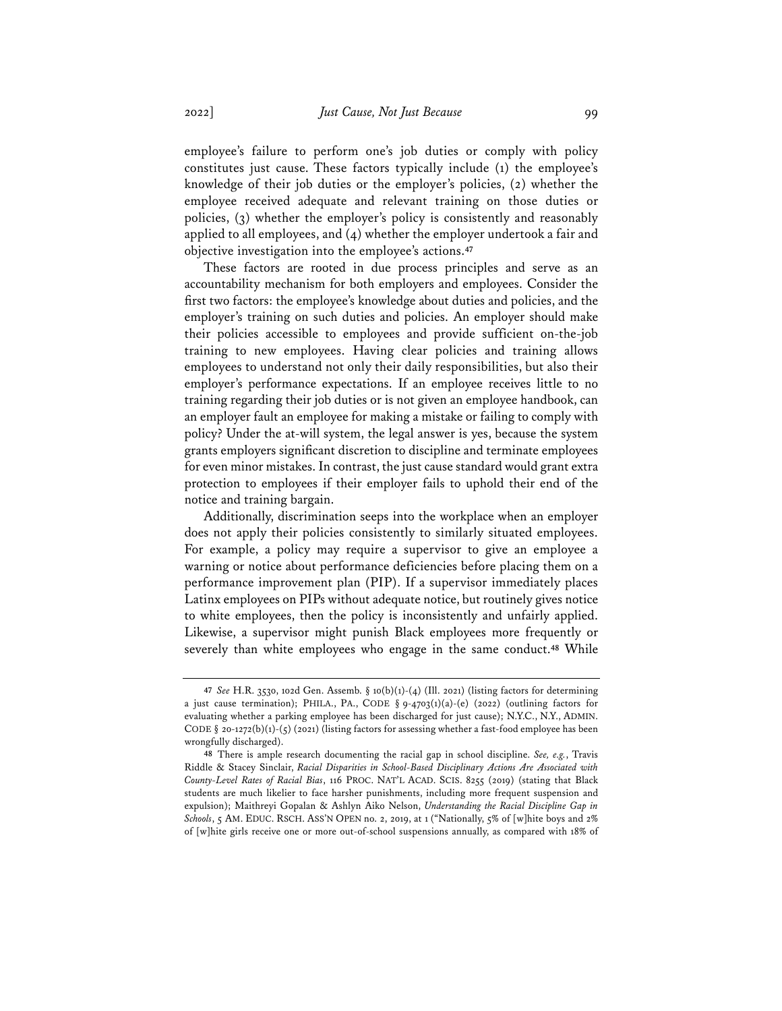employee's failure to perform one's job duties or comply with policy constitutes just cause. These factors typically include (1) the employee's knowledge of their job duties or the employer's policies, (2) whether the employee received adequate and relevant training on those duties or policies, (3) whether the employer's policy is consistently and reasonably applied to all employees, and (4) whether the employer undertook a fair and objective investigation into the employee's actions.**<sup>47</sup>**

These factors are rooted in due process principles and serve as an accountability mechanism for both employers and employees. Consider the first two factors: the employee's knowledge about duties and policies, and the employer's training on such duties and policies. An employer should make their policies accessible to employees and provide sufficient on-the-job training to new employees. Having clear policies and training allows employees to understand not only their daily responsibilities, but also their employer's performance expectations. If an employee receives little to no training regarding their job duties or is not given an employee handbook, can an employer fault an employee for making a mistake or failing to comply with policy? Under the at-will system, the legal answer is yes, because the system grants employers significant discretion to discipline and terminate employees for even minor mistakes. In contrast, the just cause standard would grant extra protection to employees if their employer fails to uphold their end of the notice and training bargain.

Additionally, discrimination seeps into the workplace when an employer does not apply their policies consistently to similarly situated employees. For example, a policy may require a supervisor to give an employee a warning or notice about performance deficiencies before placing them on a performance improvement plan (PIP). If a supervisor immediately places Latinx employees on PIPs without adequate notice, but routinely gives notice to white employees, then the policy is inconsistently and unfairly applied. Likewise, a supervisor might punish Black employees more frequently or severely than white employees who engage in the same conduct.**<sup>48</sup>** While

**<sup>47</sup>** *See* H.R. 3530, 102d Gen. Assemb. § 10(b)(1)-(4) (Ill. 2021) (listing factors for determining a just cause termination); PHILA., PA., CODE §  $9-4703(1)(a)-(e)$  (2022) (outlining factors for evaluating whether a parking employee has been discharged for just cause); N.Y.C., N.Y., ADMIN. CODE § 20-1272(b)(1)-(5) (2021) (listing factors for assessing whether a fast-food employee has been wrongfully discharged).

**<sup>48</sup>** There is ample research documenting the racial gap in school discipline. *See, e.g.*, Travis Riddle & Stacey Sinclair, *Racial Disparities in School-Based Disciplinary Actions Are Associated with County-Level Rates of Racial Bias*, 116 PROC. NAT'L ACAD. SCIS. 8255 (2019) (stating that Black students are much likelier to face harsher punishments, including more frequent suspension and expulsion); Maithreyi Gopalan & Ashlyn Aiko Nelson, *Understanding the Racial Discipline Gap in Schools*, 5 AM. EDUC. RSCH. ASS'N OPEN no. 2, 2019, at 1 ("Nationally, 5% of [w]hite boys and 2% of [w]hite girls receive one or more out-of-school suspensions annually, as compared with 18% of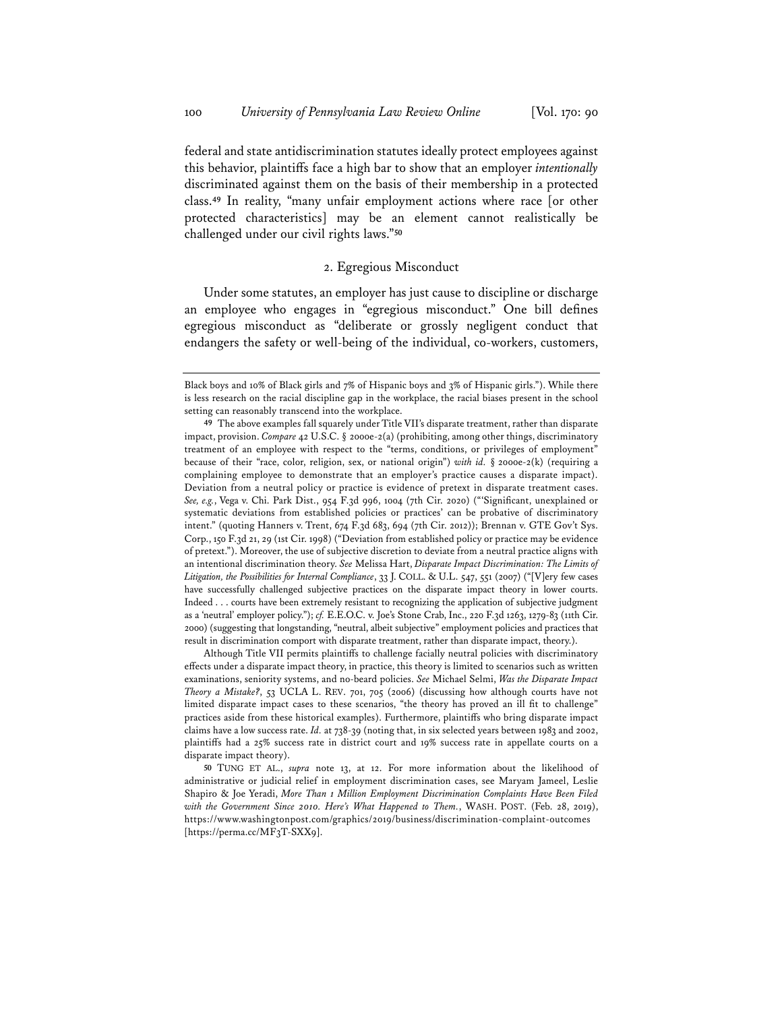federal and state antidiscrimination statutes ideally protect employees against this behavior, plaintiffs face a high bar to show that an employer *intentionally* discriminated against them on the basis of their membership in a protected class.**<sup>49</sup>** In reality, "many unfair employment actions where race [or other protected characteristics] may be an element cannot realistically be challenged under our civil rights laws."**<sup>50</sup>**

# 2. Egregious Misconduct

Under some statutes, an employer has just cause to discipline or discharge an employee who engages in "egregious misconduct." One bill defines egregious misconduct as "deliberate or grossly negligent conduct that endangers the safety or well-being of the individual, co-workers, customers,

Although Title VII permits plaintiffs to challenge facially neutral policies with discriminatory effects under a disparate impact theory, in practice, this theory is limited to scenarios such as written examinations, seniority systems, and no-beard policies. *See* Michael Selmi, *Was the Disparate Impact Theory a Mistake?*, 53 UCLA L. REV. 701, 705 (2006) (discussing how although courts have not limited disparate impact cases to these scenarios, "the theory has proved an ill fit to challenge" practices aside from these historical examples). Furthermore, plaintiffs who bring disparate impact claims have a low success rate. *Id.* at 738-39 (noting that, in six selected years between 1983 and 2002, plaintiffs had a 25% success rate in district court and 19% success rate in appellate courts on a disparate impact theory).

Black boys and 10% of Black girls and 7% of Hispanic boys and 3% of Hispanic girls."). While there is less research on the racial discipline gap in the workplace, the racial biases present in the school setting can reasonably transcend into the workplace.

**<sup>49</sup>** The above examples fall squarely under Title VII's disparate treatment, rather than disparate impact, provision. *Compare* 42 U.S.C. § 2000e-2(a) (prohibiting, among other things, discriminatory treatment of an employee with respect to the "terms, conditions, or privileges of employment" because of their "race, color, religion, sex, or national origin") *with id.* § 2000e-2(k) (requiring a complaining employee to demonstrate that an employer's practice causes a disparate impact). Deviation from a neutral policy or practice is evidence of pretext in disparate treatment cases. *See, e.g.*, Vega v. Chi. Park Dist., 954 F.3d 996, 1004 (7th Cir. 2020) ("'Significant, unexplained or systematic deviations from established policies or practices' can be probative of discriminatory intent." (quoting Hanners v. Trent, 674 F.3d 683, 694 (7th Cir. 2012)); Brennan v. GTE Gov't Sys. Corp., 150 F.3d 21, 29 (1st Cir. 1998) ("Deviation from established policy or practice may be evidence of pretext."). Moreover, the use of subjective discretion to deviate from a neutral practice aligns with an intentional discrimination theory. *See* Melissa Hart, *Disparate Impact Discrimination: The Limits of Litigation, the Possibilities for Internal Compliance*, 33 J. COLL. & U.L. 547, 551 (2007) ("[V]ery few cases have successfully challenged subjective practices on the disparate impact theory in lower courts. Indeed . . . courts have been extremely resistant to recognizing the application of subjective judgment as a 'neutral' employer policy."); *cf.* E.E.O.C. v. Joe's Stone Crab, Inc., 220 F.3d 1263, 1279-83 (11th Cir. 2000) (suggesting that longstanding, "neutral, albeit subjective" employment policies and practices that result in discrimination comport with disparate treatment, rather than disparate impact, theory.).

**<sup>50</sup>** TUNG ET AL., *supra* note 13, at 12. For more information about the likelihood of administrative or judicial relief in employment discrimination cases, see Maryam Jameel, Leslie Shapiro & Joe Yeradi, *More Than 1 Million Employment Discrimination Complaints Have Been Filed with the Government Since 2010. Here's What Happened to Them.*, WASH. POST. (Feb. 28, 2019), https://www.washingtonpost.com/graphics/2019/business/discrimination-complaint-outcomes [https://perma.cc/MF<sub>3</sub>T-SXX9].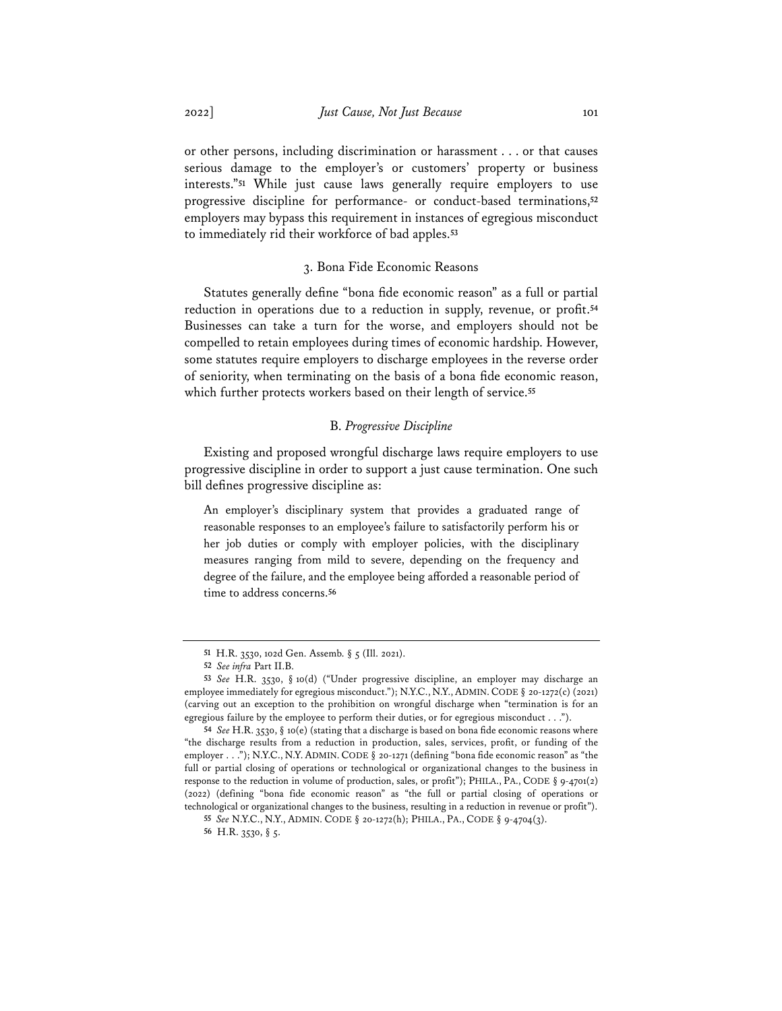or other persons, including discrimination or harassment . . . or that causes serious damage to the employer's or customers' property or business interests."**<sup>51</sup>** While just cause laws generally require employers to use progressive discipline for performance- or conduct-based terminations,**<sup>52</sup>** employers may bypass this requirement in instances of egregious misconduct to immediately rid their workforce of bad apples.**<sup>53</sup>**

### 3. Bona Fide Economic Reasons

Statutes generally define "bona fide economic reason" as a full or partial reduction in operations due to a reduction in supply, revenue, or profit.**<sup>54</sup>** Businesses can take a turn for the worse, and employers should not be compelled to retain employees during times of economic hardship. However, some statutes require employers to discharge employees in the reverse order of seniority, when terminating on the basis of a bona fide economic reason, which further protects workers based on their length of service.**<sup>55</sup>**

### B. *Progressive Discipline*

Existing and proposed wrongful discharge laws require employers to use progressive discipline in order to support a just cause termination. One such bill defines progressive discipline as:

An employer's disciplinary system that provides a graduated range of reasonable responses to an employee's failure to satisfactorily perform his or her job duties or comply with employer policies, with the disciplinary measures ranging from mild to severe, depending on the frequency and degree of the failure, and the employee being afforded a reasonable period of time to address concerns.**<sup>56</sup>**

**<sup>51</sup>** H.R. 3530, 102d Gen. Assemb. § 5 (Ill. 2021).

**<sup>52</sup>** *See infra* Part II.B.

**<sup>53</sup>** *See* H.R. 3530, § 10(d) ("Under progressive discipline, an employer may discharge an employee immediately for egregious misconduct."); N.Y.C., N.Y., ADMIN.CODE § 20-1272(c) (2021) (carving out an exception to the prohibition on wrongful discharge when "termination is for an egregious failure by the employee to perform their duties, or for egregious misconduct . . .").

**<sup>54</sup>** *See* H.R. 3530, § 10(e) (stating that a discharge is based on bona fide economic reasons where "the discharge results from a reduction in production, sales, services, profit, or funding of the employer . . ."); N.Y.C., N.Y. ADMIN. CODE § 20-1271 (defining "bona fide economic reason" as "the full or partial closing of operations or technological or organizational changes to the business in response to the reduction in volume of production, sales, or profit"); PHILA., PA., CODE § 9-4701(2) (2022) (defining "bona fide economic reason" as "the full or partial closing of operations or technological or organizational changes to the business, resulting in a reduction in revenue or profit").

**<sup>55</sup>** *See* N.Y.C., N.Y., ADMIN. CODE § 20-1272(h); PHILA., PA., CODE § 9-4704(3).

**<sup>56</sup>** H.R. 3530, § 5.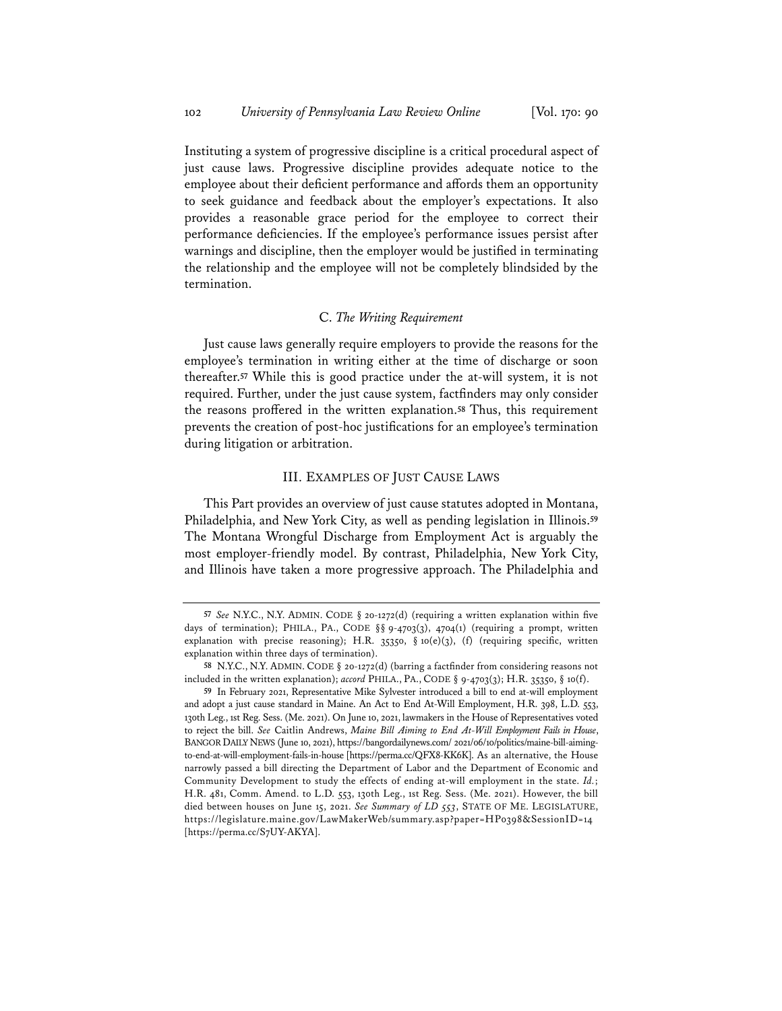Instituting a system of progressive discipline is a critical procedural aspect of just cause laws. Progressive discipline provides adequate notice to the employee about their deficient performance and affords them an opportunity to seek guidance and feedback about the employer's expectations. It also provides a reasonable grace period for the employee to correct their performance deficiencies. If the employee's performance issues persist after warnings and discipline, then the employer would be justified in terminating the relationship and the employee will not be completely blindsided by the termination.

## C. *The Writing Requirement*

Just cause laws generally require employers to provide the reasons for the employee's termination in writing either at the time of discharge or soon thereafter.**<sup>57</sup>** While this is good practice under the at-will system, it is not required. Further, under the just cause system, factfinders may only consider the reasons proffered in the written explanation.**<sup>58</sup>** Thus, this requirement prevents the creation of post-hoc justifications for an employee's termination during litigation or arbitration.

### III. EXAMPLES OF JUST CAUSE LAWS

This Part provides an overview of just cause statutes adopted in Montana, Philadelphia, and New York City, as well as pending legislation in Illinois.**<sup>59</sup>** The Montana Wrongful Discharge from Employment Act is arguably the most employer-friendly model. By contrast, Philadelphia, New York City, and Illinois have taken a more progressive approach. The Philadelphia and

**<sup>57</sup>** *See* N.Y.C., N.Y. ADMIN. CODE § 20-1272(d) (requiring a written explanation within five days of termination); PHILA., PA., CODE §§ 9-4703(3), 4704(1) (requiring a prompt, written explanation with precise reasoning); H.R. 35350, § 10(e)(3), (f) (requiring specific, written explanation within three days of termination).

**<sup>58</sup>** N.Y.C., N.Y. ADMIN. CODE § 20-1272(d) (barring a factfinder from considering reasons not included in the written explanation); *accord* PHILA., PA., CODE § 9-4703(3); H.R. 35350, § 10(f).

**<sup>59</sup>** In February 2021, Representative Mike Sylvester introduced a bill to end at-will employment and adopt a just cause standard in Maine. An Act to End At-Will Employment, H.R. 398, L.D. 553, 130th Leg., 1st Reg. Sess. (Me. 2021). On June 10, 2021, lawmakers in the House of Representatives voted to reject the bill. *See* Caitlin Andrews, *Maine Bill Aiming to End At-Will Employment Fails in House*, BANGOR DAILY NEWS (June 10, 2021), https://bangordailynews.com/ 2021/06/10/politics/maine-bill-aimingto-end-at-will-employment-fails-in-house [https://perma.cc/QFX8-KK6K]. As an alternative, the House narrowly passed a bill directing the Department of Labor and the Department of Economic and Community Development to study the effects of ending at-will employment in the state. *Id.*; H.R. 481, Comm. Amend. to L.D. 553, 130th Leg., 1st Reg. Sess. (Me. 2021). However, the bill died between houses on June 15, 2021. *See Summary of LD 553*, STATE OF ME. LEGISLATURE, https://legislature.maine.gov/LawMakerWeb/summary.asp?paper=HP0398&SessionID=14 [https://perma.cc/S7UY-AKYA].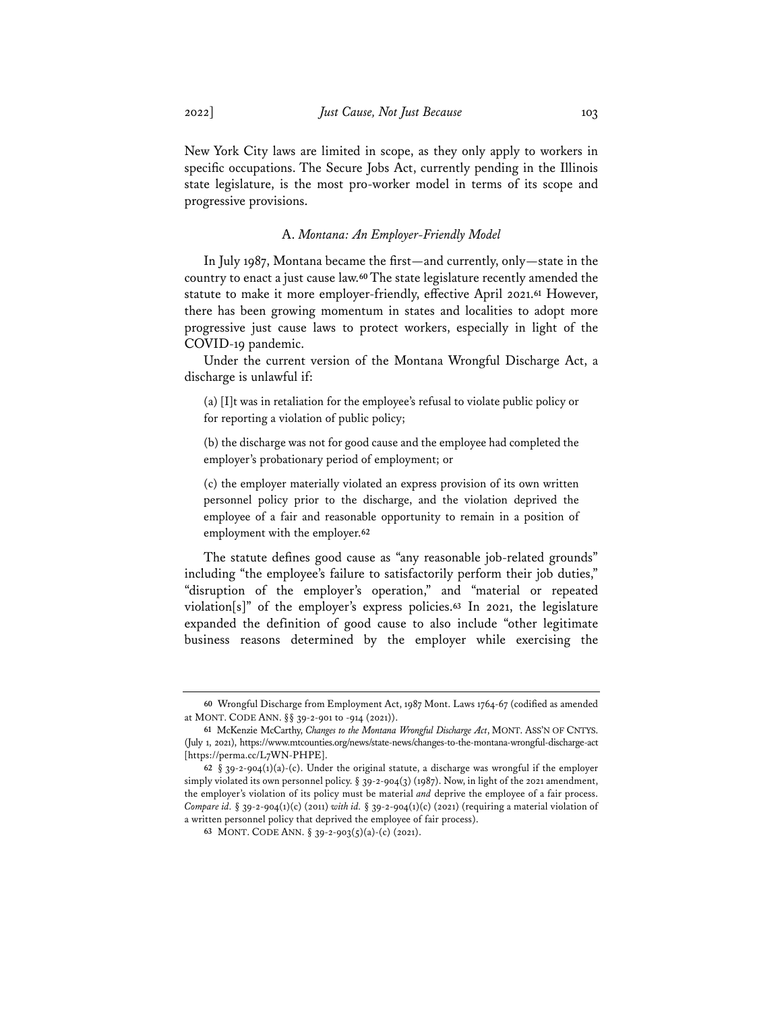New York City laws are limited in scope, as they only apply to workers in specific occupations. The Secure Jobs Act, currently pending in the Illinois state legislature, is the most pro-worker model in terms of its scope and progressive provisions.

### A. *Montana: An Employer-Friendly Model*

In July 1987, Montana became the first—and currently, only—state in the country to enact a just cause law.**<sup>60</sup>** The state legislature recently amended the statute to make it more employer-friendly, effective April 2021.**<sup>61</sup>** However, there has been growing momentum in states and localities to adopt more progressive just cause laws to protect workers, especially in light of the COVID-19 pandemic.

Under the current version of the Montana Wrongful Discharge Act, a discharge is unlawful if:

(a) [I]t was in retaliation for the employee's refusal to violate public policy or for reporting a violation of public policy;

(b) the discharge was not for good cause and the employee had completed the employer's probationary period of employment; or

(c) the employer materially violated an express provision of its own written personnel policy prior to the discharge, and the violation deprived the employee of a fair and reasonable opportunity to remain in a position of employment with the employer.**<sup>62</sup>**

The statute defines good cause as "any reasonable job-related grounds" including "the employee's failure to satisfactorily perform their job duties," "disruption of the employer's operation," and "material or repeated violation[s]" of the employer's express policies.**<sup>63</sup>** In 2021, the legislature expanded the definition of good cause to also include "other legitimate business reasons determined by the employer while exercising the

**<sup>60</sup>** Wrongful Discharge from Employment Act, 1987 Mont. Laws 1764-67 (codified as amended at MONT. CODE ANN. §§ 39-2-901 to -914 (2021)).

**<sup>61</sup>** McKenzie McCarthy, *Changes to the Montana Wrongful Discharge Act*, MONT. ASS'N OF CNTYS. (July 1, 2021), https://www.mtcounties.org/news/state-news/changes-to-the-montana-wrongful-discharge-act [https://perma.cc/L7WN-PHPE].

**<sup>62</sup>** § 39-2-904(1)(a)-(c). Under the original statute, a discharge was wrongful if the employer simply violated its own personnel policy. § 39-2-904(3) (1987). Now, in light of the 2021 amendment, the employer's violation of its policy must be material *and* deprive the employee of a fair process. *Compare id.* § 39-2-904(1)(c) (2011) *with id.* § 39-2-904(1)(c) (2021) (requiring a material violation of a written personnel policy that deprived the employee of fair process).

**<sup>63</sup>** MONT. CODE ANN. § 39-2-903(5)(a)-(c) (2021).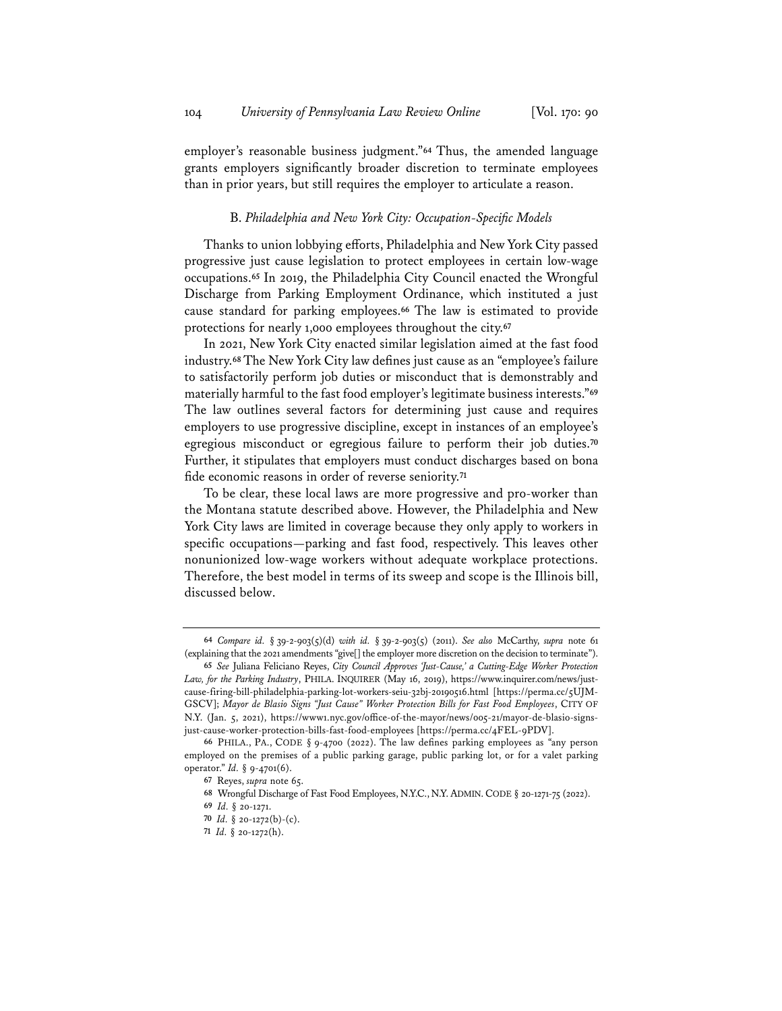employer's reasonable business judgment."**<sup>64</sup>** Thus, the amended language grants employers significantly broader discretion to terminate employees than in prior years, but still requires the employer to articulate a reason.

### B. *Philadelphia and New York City: Occupation-Specifc Models*

Thanks to union lobbying efforts, Philadelphia and New York City passed progressive just cause legislation to protect employees in certain low-wage occupations.**<sup>65</sup>** In 2019, the Philadelphia City Council enacted the Wrongful Discharge from Parking Employment Ordinance, which instituted a just cause standard for parking employees.**<sup>66</sup>** The law is estimated to provide protections for nearly 1,000 employees throughout the city.**<sup>67</sup>**

In 2021, New York City enacted similar legislation aimed at the fast food industry.**68**The New York City law defines just cause as an "employee's failure to satisfactorily perform job duties or misconduct that is demonstrably and materially harmful to the fast food employer's legitimate business interests."**<sup>69</sup>** The law outlines several factors for determining just cause and requires employers to use progressive discipline, except in instances of an employee's egregious misconduct or egregious failure to perform their job duties.**<sup>70</sup>** Further, it stipulates that employers must conduct discharges based on bona fide economic reasons in order of reverse seniority.**<sup>71</sup>**

To be clear, these local laws are more progressive and pro-worker than the Montana statute described above. However, the Philadelphia and New York City laws are limited in coverage because they only apply to workers in specific occupations—parking and fast food, respectively. This leaves other nonunionized low-wage workers without adequate workplace protections. Therefore, the best model in terms of its sweep and scope is the Illinois bill, discussed below.

**<sup>64</sup>** *Compare id.* § 39-2-903(5)(d) *with id.* § 39-2-903(5) (2011). *See also* McCarthy, *supra* note 61 (explaining that the 2021 amendments "give[] the employer more discretion on the decision to terminate").

**<sup>65</sup>** *See* Juliana Feliciano Reyes, *City Council Approves 'Just-Cause,' a Cutting-Edge Worker Protection Law, for the Parking Industry*, PHILA. INQUIRER (May 16, 2019), https://www.inquirer.com/news/justcause-firing-bill-philadelphia-parking-lot-workers-seiu-32bj-20190516.html [https://perma.cc/5UJM-GSCV]; *Mayor de Blasio Signs "Just Cause" Worker Protection Bills for Fast Food Employees*, CITY OF N.Y. (Jan. 5, 2021), https://www1.nyc.gov/office-of-the-mayor/news/005-21/mayor-de-blasio-signsjust-cause-worker-protection-bills-fast-food-employees [https://perma.cc/4FEL-9PDV].

**<sup>66</sup>** PHILA., PA., CODE § 9-4700 (2022). The law defines parking employees as "any person employed on the premises of a public parking garage, public parking lot, or for a valet parking operator." *Id.* § 9-4701(6).

**<sup>67</sup>** Reyes, *supra* note 65.

**<sup>68</sup>** Wrongful Discharge of Fast Food Employees, N.Y.C., N.Y.ADMIN.CODE § 20-1271-75 (2022).

**<sup>69</sup>** *Id.* § 20-1271.

**<sup>70</sup>** *Id.* § 20-1272(b)-(c).

**<sup>71</sup>** *Id.* § 20-1272(h).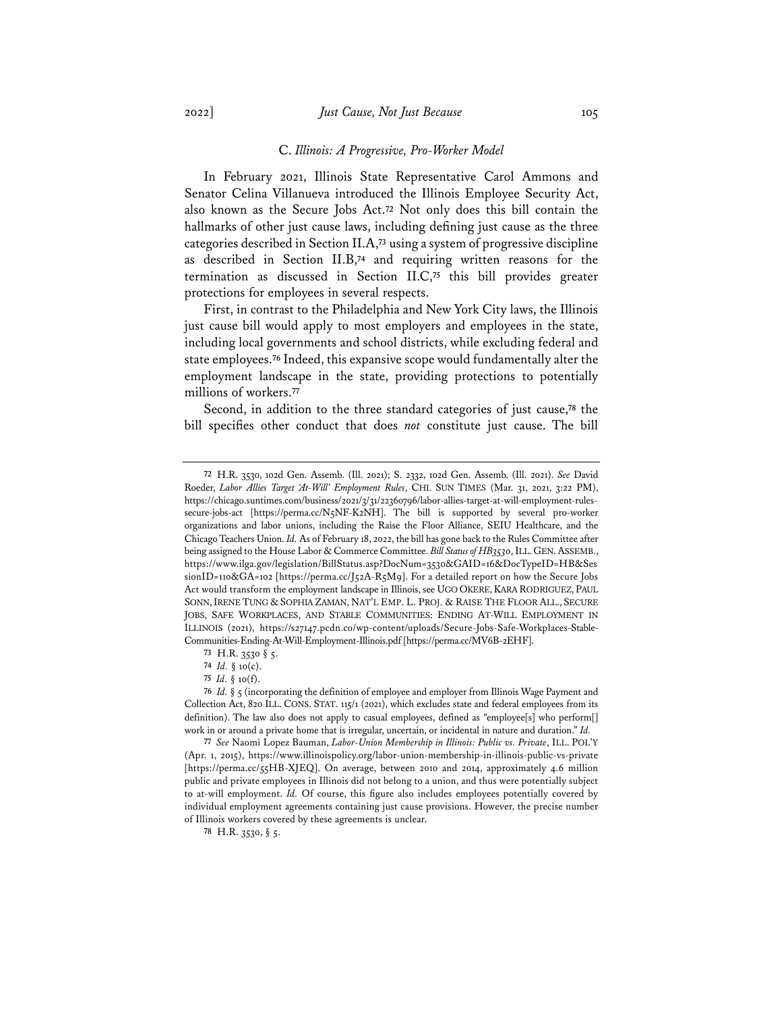#### C. *Illinois: A Progressive, Pro-Worker Model*

In February 2021, Illinois State Representative Carol Ammons and Senator Celina Villanueva introduced the Illinois Employee Security Act, also known as the Secure Jobs Act.**<sup>72</sup>** Not only does this bill contain the hallmarks of other just cause laws, including defining just cause as the three categories described in Section II.A,**<sup>73</sup>** using a system of progressive discipline as described in Section II.B,**<sup>74</sup>** and requiring written reasons for the termination as discussed in Section II.C,**<sup>75</sup>** this bill provides greater protections for employees in several respects.

First, in contrast to the Philadelphia and New York City laws, the Illinois just cause bill would apply to most employers and employees in the state, including local governments and school districts, while excluding federal and state employees.**<sup>76</sup>** Indeed, this expansive scope would fundamentally alter the employment landscape in the state, providing protections to potentially millions of workers.**<sup>77</sup>**

Second, in addition to the three standard categories of just cause,**<sup>78</sup>** the bill specifies other conduct that does *not* constitute just cause. The bill

**<sup>72</sup>** H.R. 3530, 102d Gen. Assemb. (Ill. 2021); S. 2332, 102d Gen. Assemb. (Ill. 2021). *See* David Roeder, *Labor Allies Target 'At-Will' Employment Rules*, CHI. SUN TIMES (Mar. 31, 2021, 3:22 PM), https://chicago.suntimes.com/business/2021/3/31/22360796/labor-allies-target-at-will-employment-rulessecure-jobs-act [https://perma.cc/N5NF-K2NH]. The bill is supported by several pro-worker organizations and labor unions, including the Raise the Floor Alliance, SEIU Healthcare, and the Chicago Teachers Union. *Id.* As of February 18, 2022, the bill has gone back to the Rules Committee after being assigned to the House Labor & Commerce Committee. *Bill Status of HB3530*, ILL.GEN.ASSEMB., https://www.ilga.gov/legislation/BillStatus.asp?DocNum=3530&GAID=16&DocTypeID=HB&Ses sionID=110&GA=102 [https://perma.cc/J52A-R5M9]. For a detailed report on how the Secure Jobs Act would transform the employment landscape in Illinois, see UGO OKERE,KARA RODRIGUEZ, PAUL SONN,IRENE TUNG & SOPHIA ZAMAN, NAT'L EMP. L. PROJ. & RAISE THE FLOOR ALL., SECURE JOBS, SAFE WORKPLACES, AND STABLE COMMUNITIES: ENDING AT-WILL EMPLOYMENT IN ILLINOIS (2021), https://s27147.pcdn.co/wp-content/uploads/Secure-Jobs-Safe-Workplaces-Stable-Communities-Ending-At-Will-Employment-Illinois.pdf [https://perma.cc/MV6B-2EHF].

**<sup>73</sup>** H.R. 3530 § 5.

**<sup>74</sup>** *Id.* § 10(c).

**<sup>75</sup>** *Id.* § 10(f).

**<sup>76</sup>** *Id.* § 5 (incorporating the definition of employee and employer from Illinois Wage Payment and Collection Act, 820 ILL. CONS. STAT. 115/1 (2021), which excludes state and federal employees from its definition). The law also does not apply to casual employees, defined as "employee[s] who perform[] work in or around a private home that is irregular, uncertain, or incidental in nature and duration." *Id.*

**<sup>77</sup>** *See* Naomi Lopez Bauman, *Labor-Union Membership in Illinois: Public vs. Private*, ILL. POL'Y (Apr. 1, 2015), https://www.illinoispolicy.org/labor-union-membership-in-illinois-public-vs-private [https://perma.cc/55HB-XJEQ]. On average, between 2010 and 2014, approximately 4.6 million public and private employees in Illinois did not belong to a union, and thus were potentially subject to at-will employment. *Id.* Of course, this figure also includes employees potentially covered by individual employment agreements containing just cause provisions. However, the precise number of Illinois workers covered by these agreements is unclear.

**<sup>78</sup>** H.R. 3530, § 5.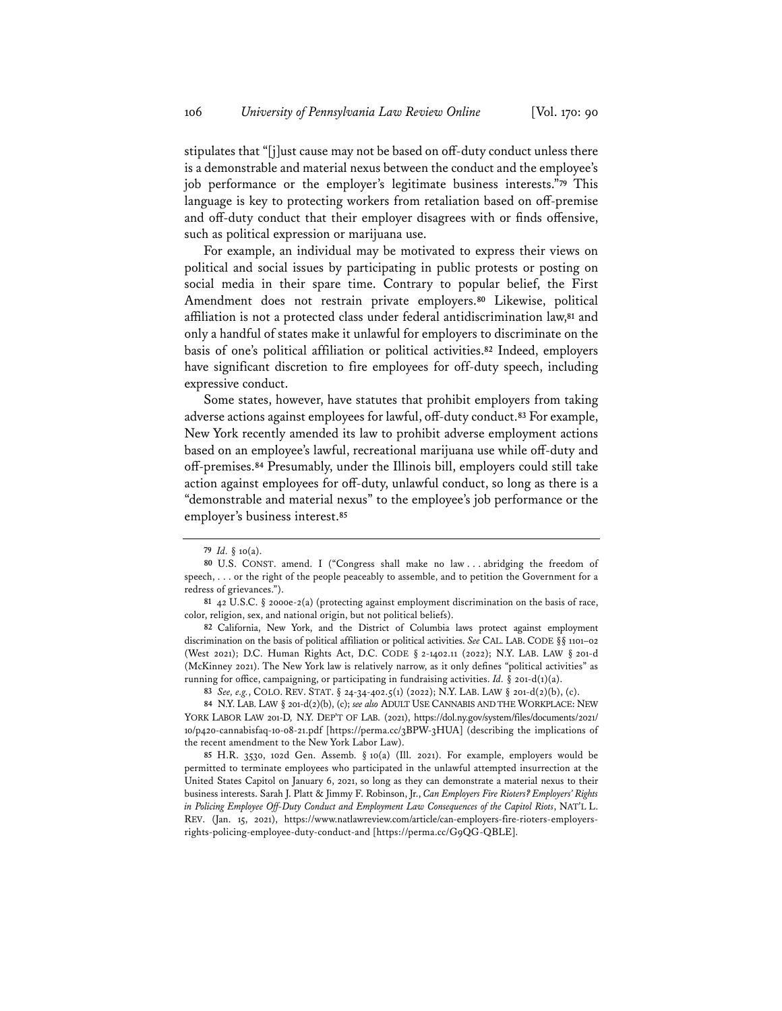stipulates that "[j]ust cause may not be based on off-duty conduct unless there is a demonstrable and material nexus between the conduct and the employee's job performance or the employer's legitimate business interests."**<sup>79</sup>** This language is key to protecting workers from retaliation based on off-premise and off-duty conduct that their employer disagrees with or finds offensive, such as political expression or marijuana use.

For example, an individual may be motivated to express their views on political and social issues by participating in public protests or posting on social media in their spare time. Contrary to popular belief, the First Amendment does not restrain private employers.**<sup>80</sup>** Likewise, political affiliation is not a protected class under federal antidiscrimination law,**<sup>81</sup>** and only a handful of states make it unlawful for employers to discriminate on the basis of one's political affiliation or political activities.**<sup>82</sup>** Indeed, employers have significant discretion to fire employees for off-duty speech, including expressive conduct.

Some states, however, have statutes that prohibit employers from taking adverse actions against employees for lawful, off-duty conduct.**<sup>83</sup>** For example, New York recently amended its law to prohibit adverse employment actions based on an employee's lawful, recreational marijuana use while off-duty and off-premises.**<sup>84</sup>** Presumably, under the Illinois bill, employers could still take action against employees for off-duty, unlawful conduct, so long as there is a "demonstrable and material nexus" to the employee's job performance or the employer's business interest.**<sup>85</sup>**

**82** California, New York, and the District of Columbia laws protect against employment discrimination on the basis of political affiliation or political activities. *See* CAL. LAB. CODE §§ 1101–02 (West 2021); D.C. Human Rights Act, D.C. CODE § 2-1402.11 (2022); N.Y. LAB. LAW § 201-d (McKinney 2021). The New York law is relatively narrow, as it only defines "political activities" as running for office, campaigning, or participating in fundraising activities. *Id.* § 201-d(1)(a).

**83** *See, e.g.*, COLO. REV. STAT. § 24-34-402.5(1) (2022); N.Y. LAB. LAW § 201-d(2)(b), (c).

**84** N.Y. LAB. LAW § 201-d(2)(b), (c); *see also* ADULT USE CANNABIS AND THE WORKPLACE: NEW YORK LABOR LAW 201-D*,* N.Y. DEP'T OF LAB. (2021), https://dol.ny.gov/system/files/documents/2021/ 10/p420-cannabisfaq-10-08-21.pdf [https://perma.cc/3BPW-3HUA] (describing the implications of the recent amendment to the New York Labor Law).

**85** H.R. 3530, 102d Gen. Assemb. § 10(a) (Ill. 2021). For example, employers would be permitted to terminate employees who participated in the unlawful attempted insurrection at the United States Capitol on January 6, 2021, so long as they can demonstrate a material nexus to their business interests. Sarah J. Platt & Jimmy F. Robinson, Jr., *Can Employers Fire Rioters? Employers' Rights in Policing Employee Off-Duty Conduct and Employment Law Consequences of the Capitol Riots*, NAT'L L. REV. (Jan. 15, 2021), https://www.natlawreview.com/article/can-employers-fire-rioters-employersrights-policing-employee-duty-conduct-and [https://perma.cc/G9QG-QBLE].

**<sup>79</sup>** *Id.* § 10(a).

**<sup>80</sup>** U.S. CONST. amend. I ("Congress shall make no law . . . abridging the freedom of speech, . . . or the right of the people peaceably to assemble, and to petition the Government for a redress of grievances.").

**<sup>81</sup>** 42 U.S.C. § 2000e-2(a) (protecting against employment discrimination on the basis of race, color, religion, sex, and national origin, but not political beliefs).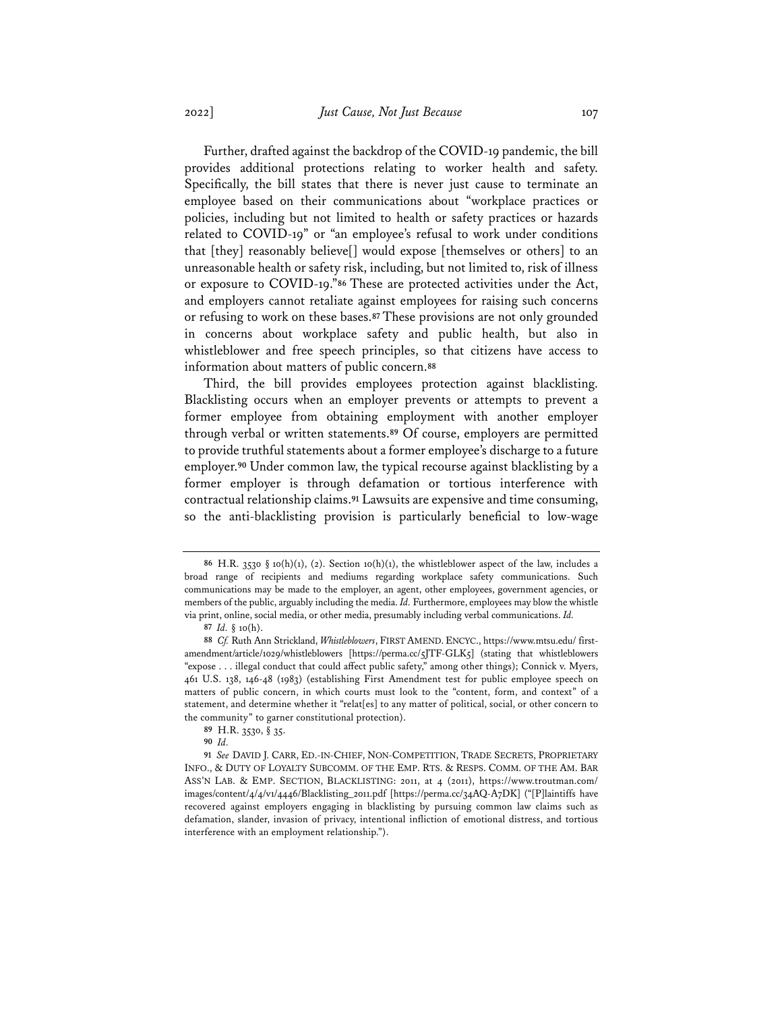Further, drafted against the backdrop of the COVID-19 pandemic, the bill provides additional protections relating to worker health and safety. Specifically, the bill states that there is never just cause to terminate an employee based on their communications about "workplace practices or policies, including but not limited to health or safety practices or hazards related to COVID-19" or "an employee's refusal to work under conditions that [they] reasonably believe[] would expose [themselves or others] to an unreasonable health or safety risk, including, but not limited to, risk of illness or exposure to COVID-19."**<sup>86</sup>** These are protected activities under the Act, and employers cannot retaliate against employees for raising such concerns or refusing to work on these bases.**<sup>87</sup>** These provisions are not only grounded in concerns about workplace safety and public health, but also in whistleblower and free speech principles, so that citizens have access to information about matters of public concern.**<sup>88</sup>**

Third, the bill provides employees protection against blacklisting. Blacklisting occurs when an employer prevents or attempts to prevent a former employee from obtaining employment with another employer through verbal or written statements.**<sup>89</sup>** Of course, employers are permitted to provide truthful statements about a former employee's discharge to a future employer.**<sup>90</sup>** Under common law, the typical recourse against blacklisting by a former employer is through defamation or tortious interference with contractual relationship claims.**<sup>91</sup>** Lawsuits are expensive and time consuming, so the anti-blacklisting provision is particularly beneficial to low-wage

**89** H.R. 3530, § 35.

**90** *Id.*

**<sup>86</sup>** H.R. 3530 § 10(h)(1), (2). Section 10(h)(1), the whistleblower aspect of the law, includes a broad range of recipients and mediums regarding workplace safety communications. Such communications may be made to the employer, an agent, other employees, government agencies, or members of the public, arguably including the media. *Id.* Furthermore, employees may blow the whistle via print, online, social media, or other media, presumably including verbal communications. *Id.*

**<sup>87</sup>** *Id.* § 10(h).

**<sup>88</sup>** *Cf.* Ruth Ann Strickland, *Whistleblowers*, FIRST AMEND. ENCYC., https://www.mtsu.edu/ firstamendment/article/1029/whistleblowers [https://perma.cc/5JTF-GLK5] (stating that whistleblowers "expose . . . illegal conduct that could affect public safety," among other things); Connick v. Myers, 461 U.S. 138, 146-48 (1983) (establishing First Amendment test for public employee speech on matters of public concern, in which courts must look to the "content, form, and context" of a statement, and determine whether it "relat[es] to any matter of political, social, or other concern to the community" to garner constitutional protection).

**<sup>91</sup>** *See* DAVID J. CARR, ED.-IN-CHIEF, NON-COMPETITION, TRADE SECRETS, PROPRIETARY INFO., & DUTY OF LOYALTY SUBCOMM. OF THE EMP. RTS. & RESPS. COMM. OF THE AM. BAR ASS'N LAB. & EMP. SECTION, BLACKLISTING: 2011, at 4 (2011), https://www.troutman.com/ images/content/4/4/v1/4446/Blacklisting\_2011.pdf [https://perma.cc/34AQ-A7DK] ("[P]laintiffs have recovered against employers engaging in blacklisting by pursuing common law claims such as defamation, slander, invasion of privacy, intentional infliction of emotional distress, and tortious interference with an employment relationship.").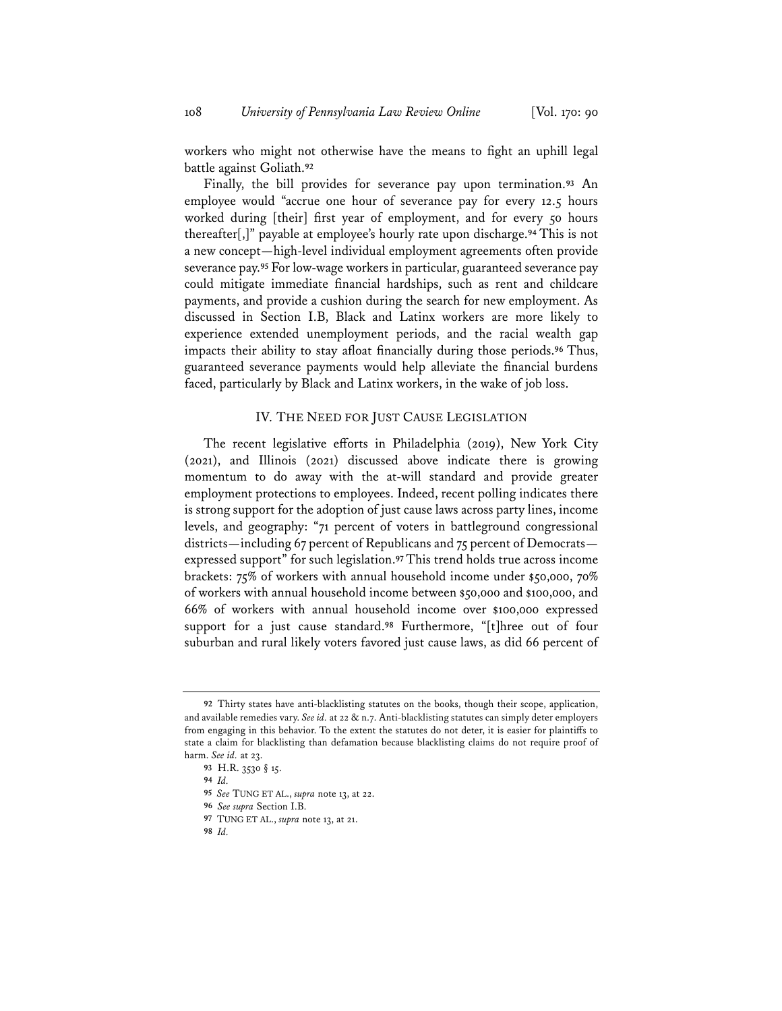workers who might not otherwise have the means to fight an uphill legal battle against Goliath.**<sup>92</sup>**

Finally, the bill provides for severance pay upon termination.**<sup>93</sup>** An employee would "accrue one hour of severance pay for every 12.5 hours worked during [their] first year of employment, and for every 50 hours thereafter[,]" payable at employee's hourly rate upon discharge.**<sup>94</sup>** This is not a new concept—high-level individual employment agreements often provide severance pay.**<sup>95</sup>** For low-wage workers in particular, guaranteed severance pay could mitigate immediate financial hardships, such as rent and childcare payments, and provide a cushion during the search for new employment. As discussed in Section I.B, Black and Latinx workers are more likely to experience extended unemployment periods, and the racial wealth gap impacts their ability to stay afloat financially during those periods.**<sup>96</sup>** Thus, guaranteed severance payments would help alleviate the financial burdens faced, particularly by Black and Latinx workers, in the wake of job loss.

### IV. THE NEED FOR JUST CAUSE LEGISLATION

The recent legislative efforts in Philadelphia (2019), New York City (2021), and Illinois (2021) discussed above indicate there is growing momentum to do away with the at-will standard and provide greater employment protections to employees. Indeed, recent polling indicates there is strong support for the adoption of just cause laws across party lines, income levels, and geography: "71 percent of voters in battleground congressional districts—including 67 percent of Republicans and 75 percent of Democrats expressed support" for such legislation.**<sup>97</sup>** This trend holds true across income brackets: 75% of workers with annual household income under \$50,000, 70% of workers with annual household income between \$50,000 and \$100,000, and 66% of workers with annual household income over \$100,000 expressed support for a just cause standard.**<sup>98</sup>** Furthermore, "[t]hree out of four suburban and rural likely voters favored just cause laws, as did 66 percent of

**<sup>92</sup>** Thirty states have anti-blacklisting statutes on the books, though their scope, application, and available remedies vary. *See id.* at 22 & n.7. Anti-blacklisting statutes can simply deter employers from engaging in this behavior. To the extent the statutes do not deter, it is easier for plaintiffs to state a claim for blacklisting than defamation because blacklisting claims do not require proof of harm. *See id.* at 23.

**<sup>93</sup>** H.R. 3530 § 15.

**<sup>94</sup>** *Id.*

**<sup>95</sup>** *See* TUNG ET AL., *supra* note 13, at 22.

**<sup>96</sup>** *See supra* Section I.B.

**<sup>97</sup>** TUNG ET AL., *supra* note 13, at 21.

**<sup>98</sup>** *Id.*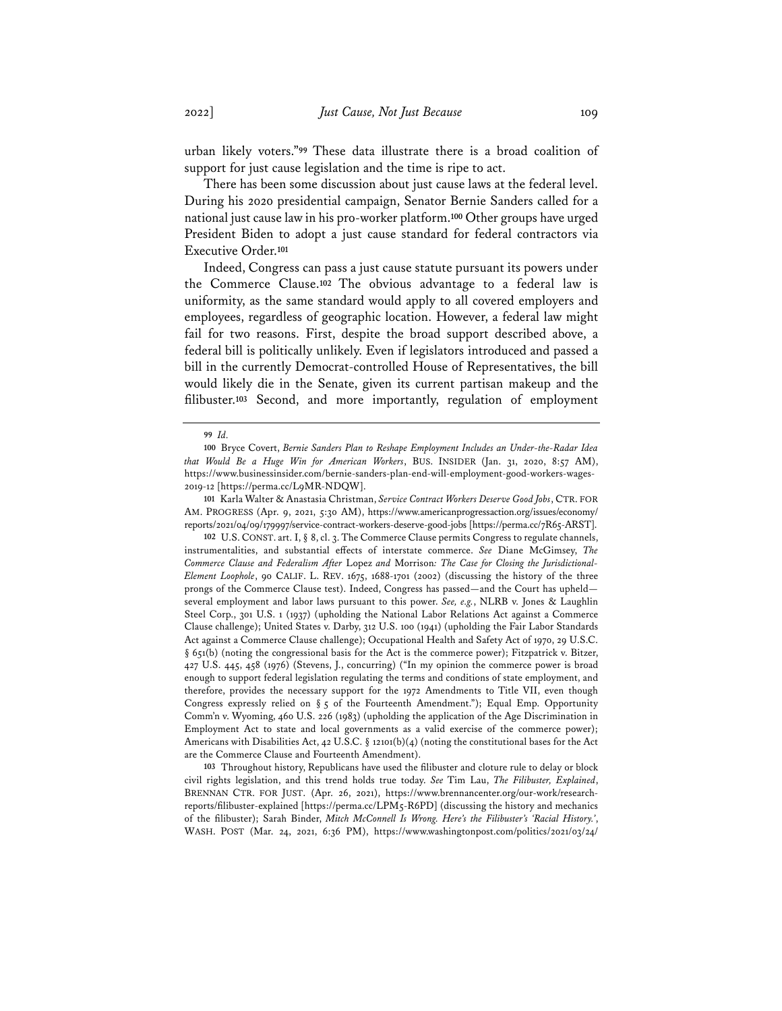urban likely voters."**<sup>99</sup>** These data illustrate there is a broad coalition of support for just cause legislation and the time is ripe to act.

There has been some discussion about just cause laws at the federal level. During his 2020 presidential campaign, Senator Bernie Sanders called for a national just cause law in his pro-worker platform.**<sup>100</sup>** Other groups have urged President Biden to adopt a just cause standard for federal contractors via Executive Order.**<sup>101</sup>**

Indeed, Congress can pass a just cause statute pursuant its powers under the Commerce Clause.**<sup>102</sup>** The obvious advantage to a federal law is uniformity, as the same standard would apply to all covered employers and employees, regardless of geographic location. However, a federal law might fail for two reasons. First, despite the broad support described above, a federal bill is politically unlikely. Even if legislators introduced and passed a bill in the currently Democrat-controlled House of Representatives, the bill would likely die in the Senate, given its current partisan makeup and the filibuster.**<sup>103</sup>** Second, and more importantly, regulation of employment

**101** Karla Walter & Anastasia Christman, *Service Contract Workers Deserve Good Jobs*, CTR. FOR AM. PROGRESS (Apr. 9, 2021, 5:30 AM), https://www.americanprogressaction.org/issues/economy/ reports/2021/04/09/179997/service-contract-workers-deserve-good-jobs [https://perma.cc/7R65-ARST].

**102** U.S.CONST. art. I, § 8, cl. 3. The Commerce Clause permits Congress to regulate channels, instrumentalities, and substantial effects of interstate commerce. *See* Diane McGimsey, *The Commerce Clause and Federalism After* Lopez *and* Morrison*: The Case for Closing the Jurisdictional-Element Loophole*, 90 CALIF. L. REV. 1675, 1688-1701 (2002) (discussing the history of the three prongs of the Commerce Clause test). Indeed, Congress has passed—and the Court has upheld several employment and labor laws pursuant to this power. *See, e.g.*, NLRB v. Jones & Laughlin Steel Corp., 301 U.S. 1 (1937) (upholding the National Labor Relations Act against a Commerce Clause challenge); United States v. Darby, 312 U.S. 100 (1941) (upholding the Fair Labor Standards Act against a Commerce Clause challenge); Occupational Health and Safety Act of 1970, 29 U.S.C. § 651(b) (noting the congressional basis for the Act is the commerce power); Fitzpatrick v. Bitzer, 427 U.S. 445, 458 (1976) (Stevens, J., concurring) ("In my opinion the commerce power is broad enough to support federal legislation regulating the terms and conditions of state employment, and therefore, provides the necessary support for the 1972 Amendments to Title VII, even though Congress expressly relied on  $\S$  5 of the Fourteenth Amendment."); Equal Emp. Opportunity Comm'n v. Wyoming, 460 U.S. 226 (1983) (upholding the application of the Age Discrimination in Employment Act to state and local governments as a valid exercise of the commerce power); Americans with Disabilities Act, 42 U.S.C. § 12101(b)(4) (noting the constitutional bases for the Act are the Commerce Clause and Fourteenth Amendment).

**103** Throughout history, Republicans have used the filibuster and cloture rule to delay or block civil rights legislation, and this trend holds true today. *See* Tim Lau, *The Filibuster, Explained*, BRENNAN CTR. FOR JUST. (Apr. 26, 2021), https://www.brennancenter.org/our-work/researchreports/filibuster-explained [https://perma.cc/LPM5-R6PD] (discussing the history and mechanics of the filibuster); Sarah Binder, *Mitch McConnell Is Wrong. Here's the Filibuster's 'Racial History.'*, WASH. POST (Mar. 24, 2021, 6:36 PM), https://www.washingtonpost.com/politics/2021/03/24/

**<sup>99</sup>** *Id.*

**<sup>100</sup>** Bryce Covert, *Bernie Sanders Plan to Reshape Employment Includes an Under-the-Radar Idea that Would Be a Huge Win for American Workers*, BUS. INSIDER (Jan. 31, 2020, 8:57 AM), https://www.businessinsider.com/bernie-sanders-plan-end-will-employment-good-workers-wages-2019-12 [https://perma.cc/L9MR-NDQW].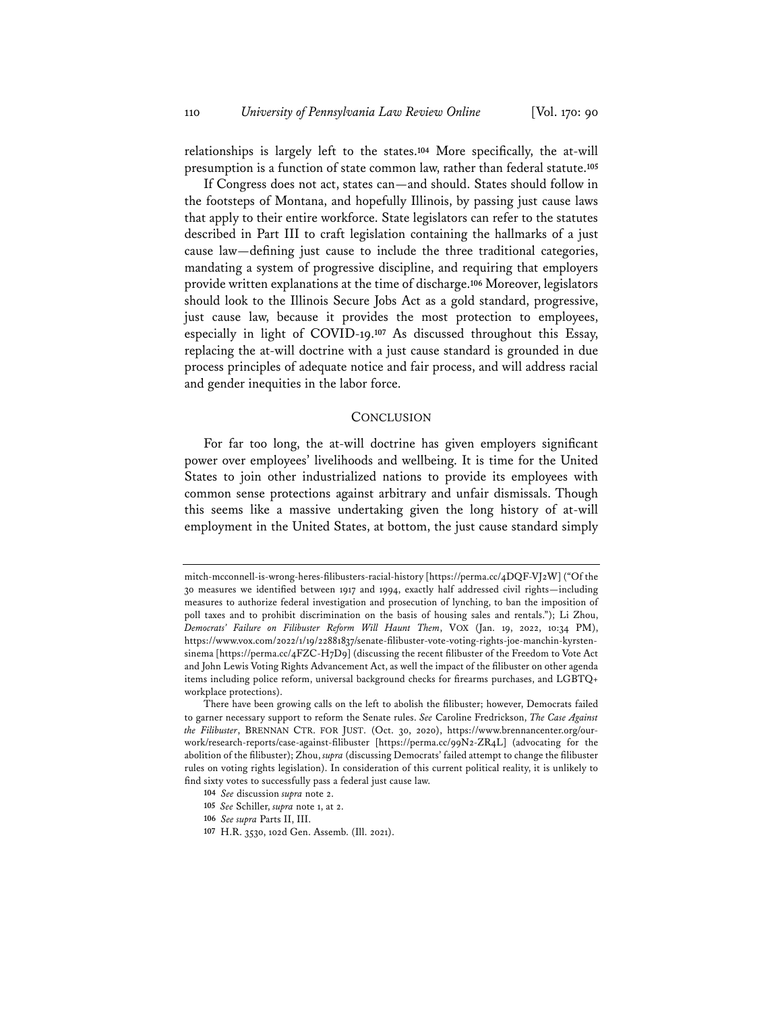relationships is largely left to the states.**<sup>104</sup>** More specifically, the at-will presumption is a function of state common law, rather than federal statute.**<sup>105</sup>**

If Congress does not act, states can—and should. States should follow in the footsteps of Montana, and hopefully Illinois, by passing just cause laws that apply to their entire workforce. State legislators can refer to the statutes described in Part III to craft legislation containing the hallmarks of a just cause law—defining just cause to include the three traditional categories, mandating a system of progressive discipline, and requiring that employers provide written explanations at the time of discharge.**<sup>106</sup>** Moreover, legislators should look to the Illinois Secure Jobs Act as a gold standard, progressive, just cause law, because it provides the most protection to employees, especially in light of COVID-19.**<sup>107</sup>** As discussed throughout this Essay, replacing the at-will doctrine with a just cause standard is grounded in due process principles of adequate notice and fair process, and will address racial and gender inequities in the labor force.

#### **CONCLUSION**

For far too long, the at-will doctrine has given employers significant power over employees' livelihoods and wellbeing. It is time for the United States to join other industrialized nations to provide its employees with common sense protections against arbitrary and unfair dismissals. Though this seems like a massive undertaking given the long history of at-will employment in the United States, at bottom, the just cause standard simply

mitch-mcconnell-is-wrong-heres-filibusters-racial-history [https://perma.cc/4DQF-VJ2W] ("Of the 30 measures we identified between 1917 and 1994, exactly half addressed civil rights—including measures to authorize federal investigation and prosecution of lynching, to ban the imposition of poll taxes and to prohibit discrimination on the basis of housing sales and rentals."); Li Zhou, *Democrats' Failure on Filibuster Reform Will Haunt Them*, VOX (Jan. 19, 2022, 10:34 PM), https://www.vox.com/2022/1/19/22881837/senate-filibuster-vote-voting-rights-joe-manchin-kyrstensinema [https://perma.cc/4FZC-H7D9] (discussing the recent filibuster of the Freedom to Vote Act and John Lewis Voting Rights Advancement Act, as well the impact of the filibuster on other agenda items including police reform, universal background checks for firearms purchases, and LGBTQ+ workplace protections).

There have been growing calls on the left to abolish the filibuster; however, Democrats failed to garner necessary support to reform the Senate rules. *See* Caroline Fredrickson, *The Case Against the Filibuster*, BRENNAN CTR. FOR JUST. (Oct. 30, 2020), https://www.brennancenter.org/ourwork/research-reports/case-against-filibuster [https://perma.cc/99N2-ZR4L] (advocating for the abolition of the filibuster); Zhou, *supra* (discussing Democrats' failed attempt to change the filibuster rules on voting rights legislation). In consideration of this current political reality, it is unlikely to find sixty votes to successfully pass a federal just cause law.

**<sup>104</sup>** *See* discussion *supra* note 2.

**<sup>105</sup>** *See* Schiller, *supra* note 1, at 2.

**<sup>106</sup>** *See supra* Parts II, III.

**<sup>107</sup>** H.R. 3530, 102d Gen. Assemb. (Ill. 2021).